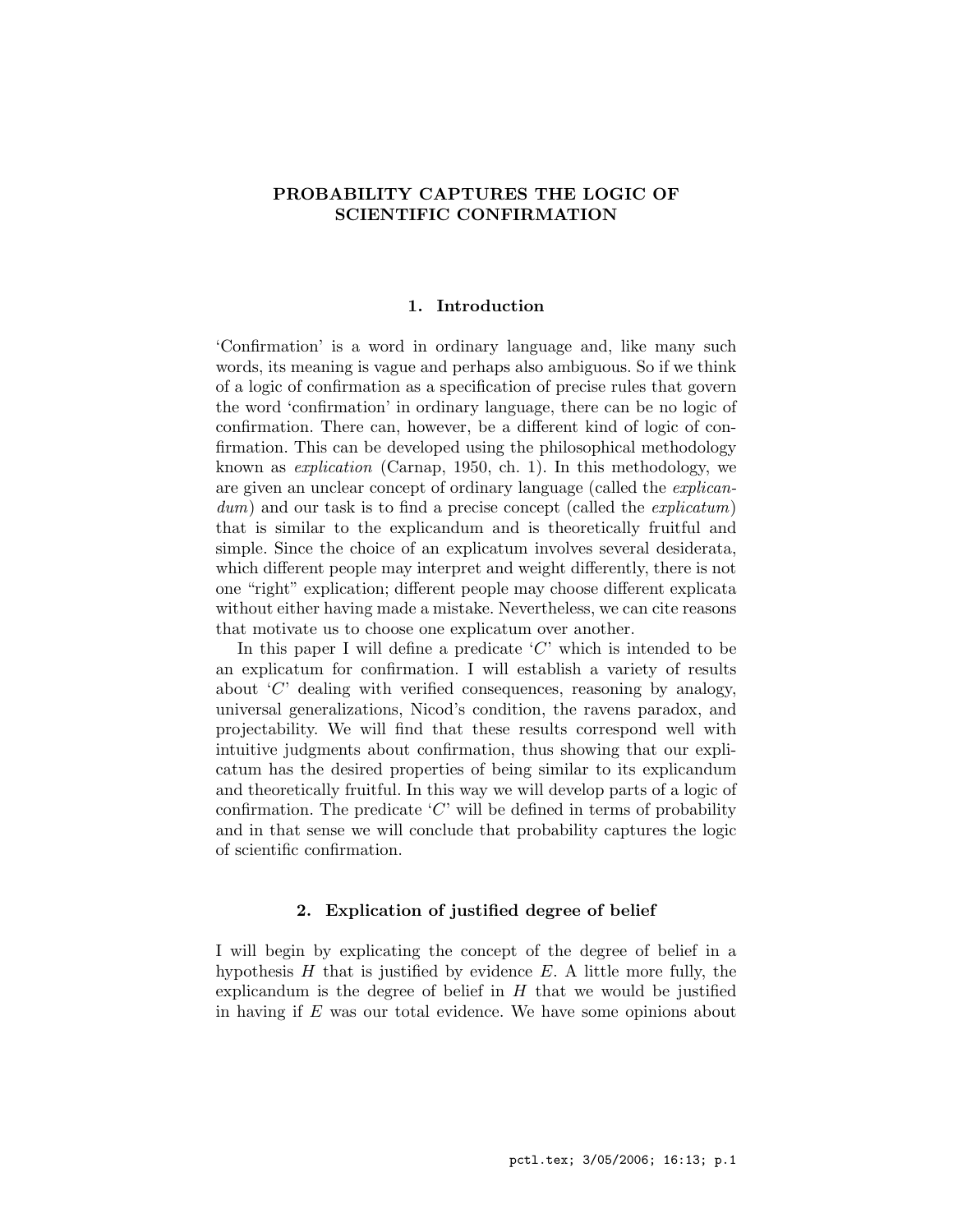# PROBABILITY CAPTURES THE LOGIC OF SCIENTIFIC CONFIRMATION

### 1. Introduction

'Confirmation' is a word in ordinary language and, like many such words, its meaning is vague and perhaps also ambiguous. So if we think of a logic of confirmation as a specification of precise rules that govern the word 'confirmation' in ordinary language, there can be no logic of confirmation. There can, however, be a different kind of logic of confirmation. This can be developed using the philosophical methodology known as explication (Carnap, 1950, ch. 1). In this methodology, we are given an unclear concept of ordinary language (called the *explican* $dum$ ) and our task is to find a precise concept (called the *explicatum*) that is similar to the explicandum and is theoretically fruitful and simple. Since the choice of an explicatum involves several desiderata, which different people may interpret and weight differently, there is not one "right" explication; different people may choose different explicata without either having made a mistake. Nevertheless, we can cite reasons that motivate us to choose one explicatum over another.

In this paper I will define a predicate  $C'$  which is intended to be an explicatum for confirmation. I will establish a variety of results about  $'C'$  dealing with verified consequences, reasoning by analogy, universal generalizations, Nicod's condition, the ravens paradox, and projectability. We will find that these results correspond well with intuitive judgments about confirmation, thus showing that our explicatum has the desired properties of being similar to its explicandum and theoretically fruitful. In this way we will develop parts of a logic of confirmation. The predicate  $C'$  will be defined in terms of probability and in that sense we will conclude that probability captures the logic of scientific confirmation.

### 2. Explication of justified degree of belief

I will begin by explicating the concept of the degree of belief in a hypothesis  $H$  that is justified by evidence  $E$ . A little more fully, the explicandum is the degree of belief in  $H$  that we would be justified in having if  $E$  was our total evidence. We have some opinions about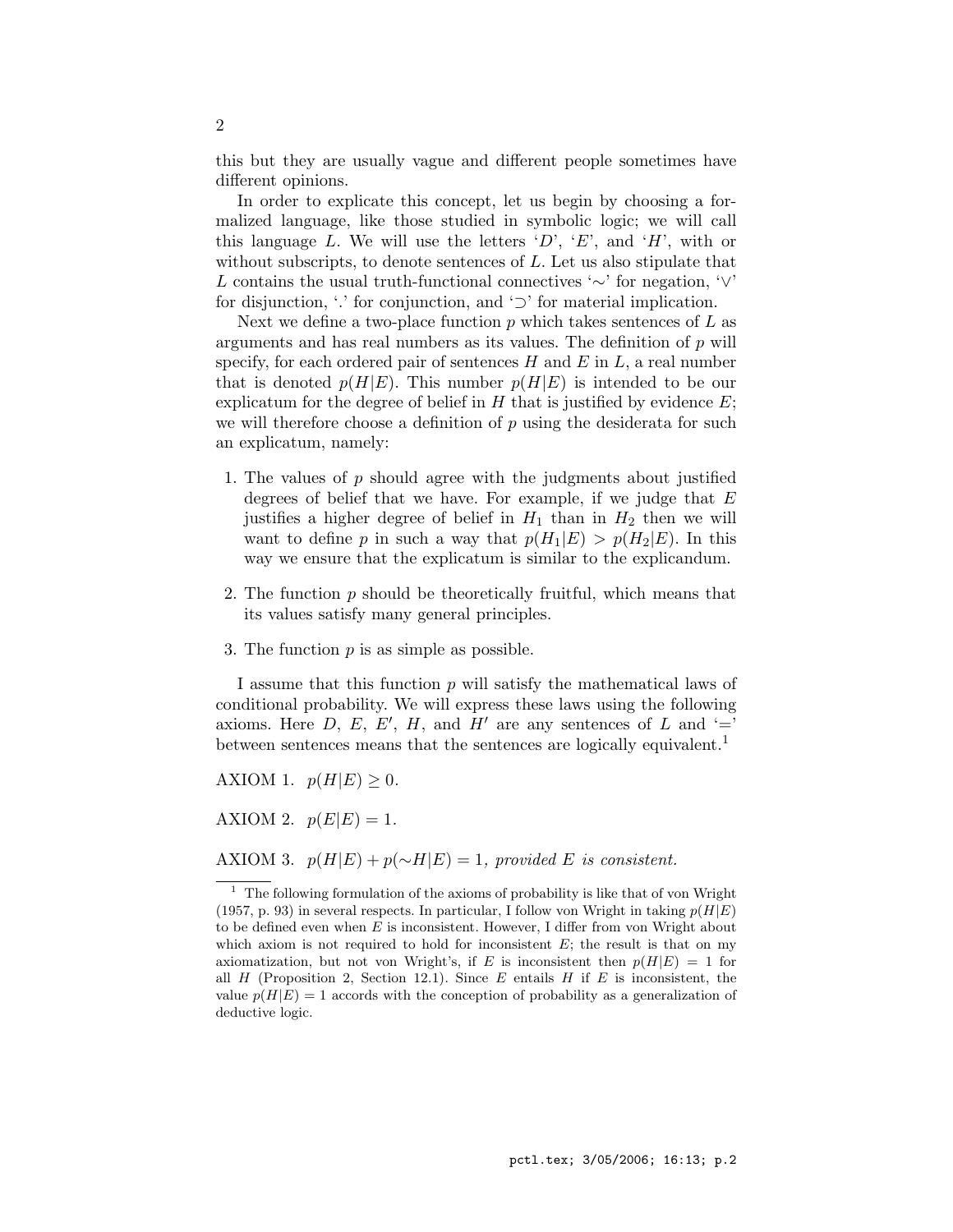this but they are usually vague and different people sometimes have different opinions.

In order to explicate this concept, let us begin by choosing a formalized language, like those studied in symbolic logic; we will call this language L. We will use the letters  $D$ ,  $E$ , and  $H$ , with or without subscripts, to denote sentences of  $L$ . Let us also stipulate that L contains the usual truth-functional connectives  $\sim$ ' for negation,  $\vee$ ' for disjunction, '.' for conjunction, and '⊃' for material implication.

Next we define a two-place function  $p$  which takes sentences of  $L$  as arguments and has real numbers as its values. The definition of  $p$  will specify, for each ordered pair of sentences  $H$  and  $E$  in  $L$ , a real number that is denoted  $p(H|E)$ . This number  $p(H|E)$  is intended to be our explicatum for the degree of belief in  $H$  that is justified by evidence  $E$ ; we will therefore choose a definition of  $p$  using the desiderata for such an explicatum, namely:

- 1. The values of  $p$  should agree with the judgments about justified degrees of belief that we have. For example, if we judge that  $E$ justifies a higher degree of belief in  $H_1$  than in  $H_2$  then we will want to define p in such a way that  $p(H_1|E) > p(H_2|E)$ . In this way we ensure that the explicatum is similar to the explicandum.
- 2. The function  $p$  should be theoretically fruitful, which means that its values satisfy many general principles.
- 3. The function  $p$  is as simple as possible.

I assume that this function p will satisfy the mathematical laws of conditional probability. We will express these laws using the following axioms. Here D, E, E', H, and H' are any sentences of L and  $=$ ' between sentences means that the sentences are logically equivalent.<sup>1</sup>

AXIOM 1.  $p(H|E) \geq 0$ .

AXIOM 2.  $p(E|E) = 1$ .

AXIOM 3.  $p(H|E) + p(\sim H|E) = 1$ , provided E is consistent.

 $1$  The following formulation of the axioms of probability is like that of von Wright (1957, p. 93) in several respects. In particular, I follow von Wright in taking  $p(H|E)$ to be defined even when  $E$  is inconsistent. However, I differ from von Wright about which axiom is not required to hold for inconsistent  $E$ ; the result is that on my axiomatization, but not von Wright's, if E is inconsistent then  $p(H|E) = 1$  for all  $H$  (Proposition 2, Section 12.1). Since  $E$  entails  $H$  if  $E$  is inconsistent, the value  $p(H|E) = 1$  accords with the conception of probability as a generalization of deductive logic.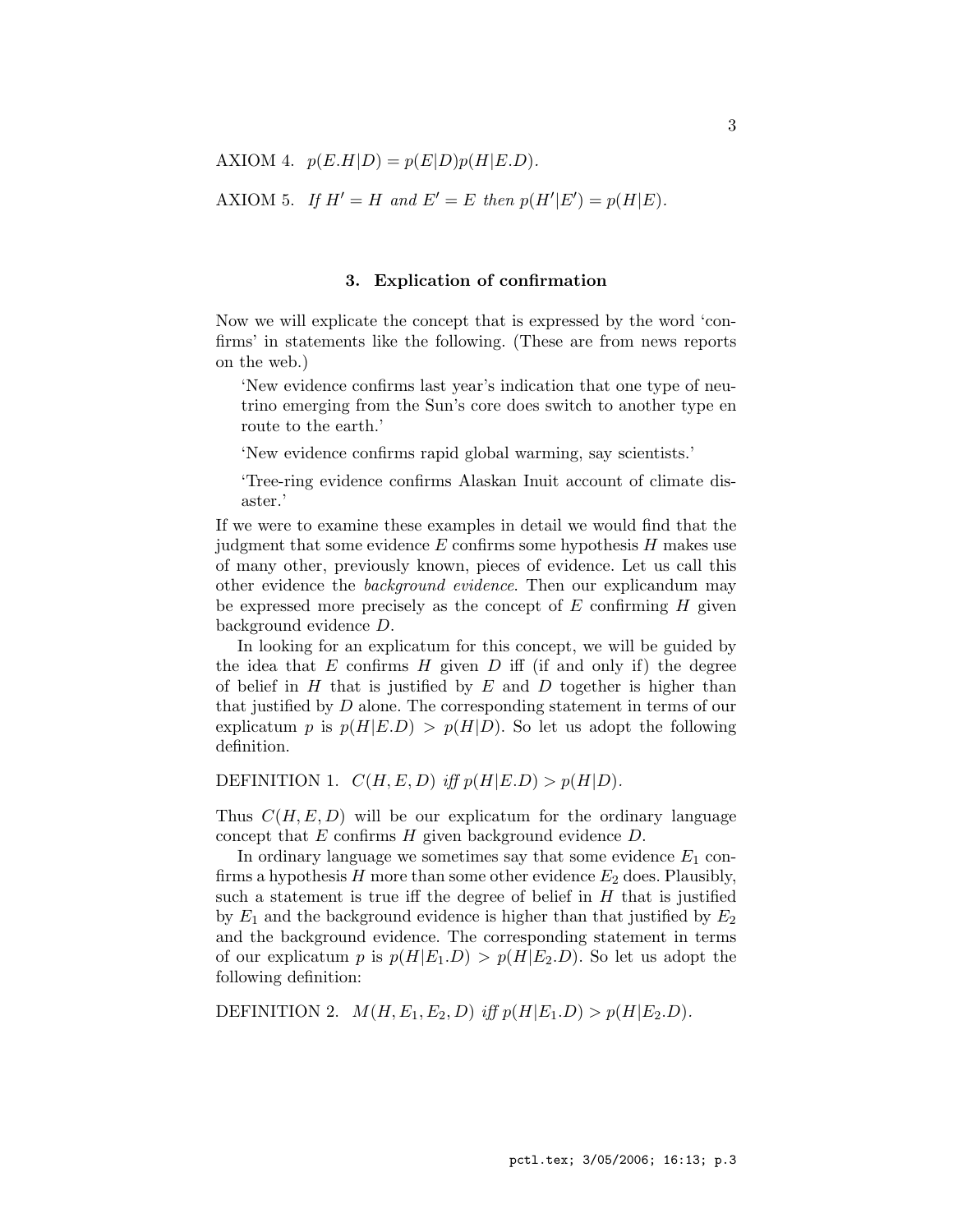AXIOM 4.  $p(E.H|D) = p(E|D)p(H|E.D)$ .

AXIOM 5. If  $H' = H$  and  $E' = E$  then  $p(H'|E') = p(H|E)$ .

# 3. Explication of confirmation

Now we will explicate the concept that is expressed by the word 'confirms' in statements like the following. (These are from news reports on the web.)

'New evidence confirms last year's indication that one type of neutrino emerging from the Sun's core does switch to another type en route to the earth.'

'New evidence confirms rapid global warming, say scientists.'

'Tree-ring evidence confirms Alaskan Inuit account of climate disaster.'

If we were to examine these examples in detail we would find that the judgment that some evidence  $E$  confirms some hypothesis  $H$  makes use of many other, previously known, pieces of evidence. Let us call this other evidence the background evidence. Then our explicandum may be expressed more precisely as the concept of  $E$  confirming  $H$  given background evidence D.

In looking for an explicatum for this concept, we will be guided by the idea that  $E$  confirms  $H$  given  $D$  iff (if and only if) the degree of belief in  $H$  that is justified by  $E$  and  $D$  together is higher than that justified by D alone. The corresponding statement in terms of our explicatum p is  $p(H|E.D) > p(H|D)$ . So let us adopt the following definition.

DEFINITION 1.  $C(H, E, D)$  iff  $p(H|E.D) > p(H|D)$ .

Thus  $C(H, E, D)$  will be our explicatum for the ordinary language concept that  $E$  confirms  $H$  given background evidence  $D$ .

In ordinary language we sometimes say that some evidence  $E_1$  confirms a hypothesis H more than some other evidence  $E_2$  does. Plausibly, such a statement is true iff the degree of belief in  $H$  that is justified by  $E_1$  and the background evidence is higher than that justified by  $E_2$ and the background evidence. The corresponding statement in terms of our explicatum p is  $p(H|E_1.D) > p(H|E_2.D)$ . So let us adopt the following definition:

DEFINITION 2.  $M(H, E_1, E_2, D)$  iff  $p(H|E_1.D) > p(H|E_2.D)$ .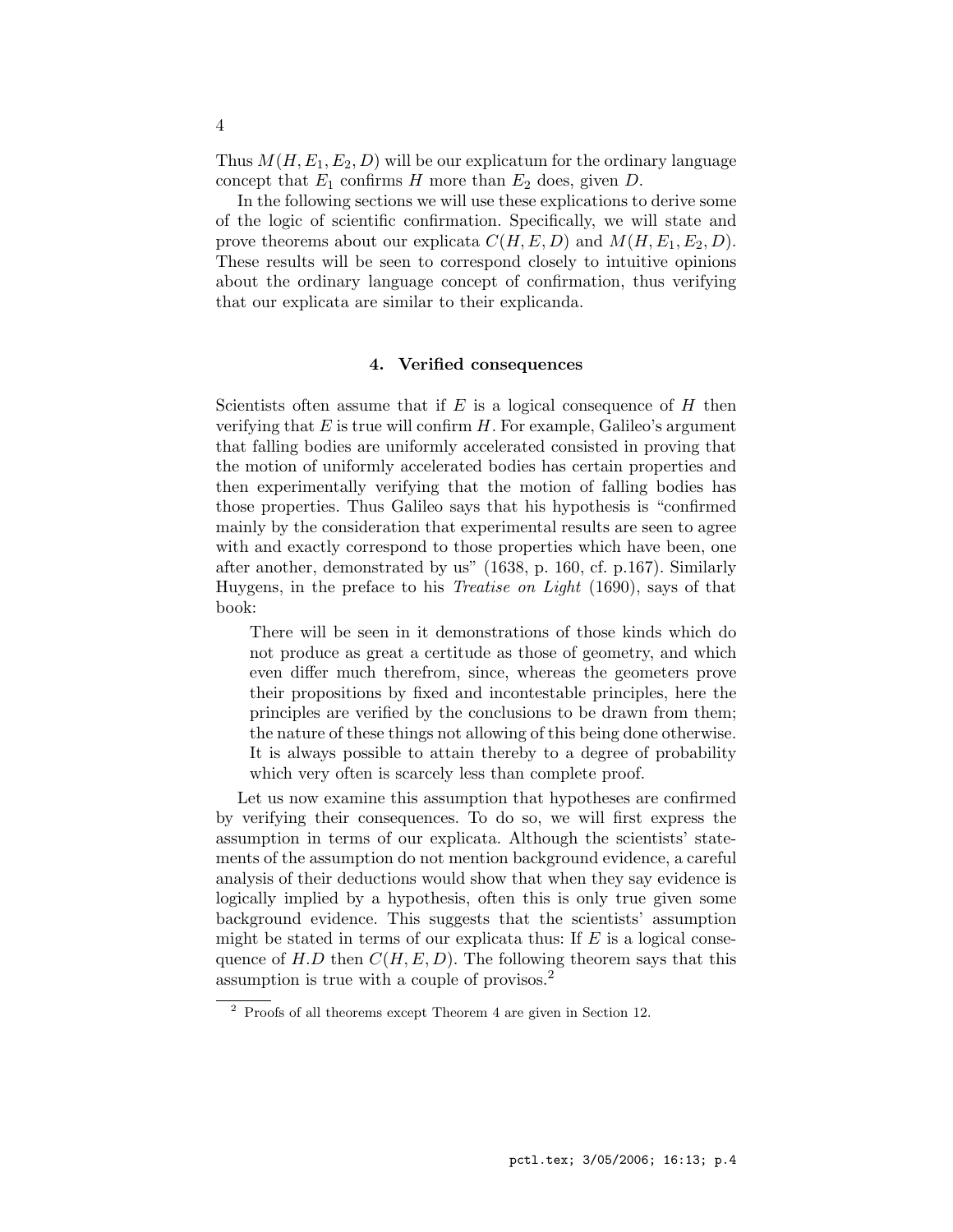Thus  $M(H, E_1, E_2, D)$  will be our explicatum for the ordinary language concept that  $E_1$  confirms H more than  $E_2$  does, given D.

In the following sections we will use these explications to derive some of the logic of scientific confirmation. Specifically, we will state and prove theorems about our explicata  $C(H, E, D)$  and  $M(H, E_1, E_2, D)$ . These results will be seen to correspond closely to intuitive opinions about the ordinary language concept of confirmation, thus verifying that our explicata are similar to their explicanda.

#### 4. Verified consequences

Scientists often assume that if E is a logical consequence of  $H$  then verifying that  $E$  is true will confirm  $H$ . For example, Galileo's argument that falling bodies are uniformly accelerated consisted in proving that the motion of uniformly accelerated bodies has certain properties and then experimentally verifying that the motion of falling bodies has those properties. Thus Galileo says that his hypothesis is "confirmed mainly by the consideration that experimental results are seen to agree with and exactly correspond to those properties which have been, one after another, demonstrated by us" (1638, p. 160, cf. p.167). Similarly Huygens, in the preface to his *Treatise on Light* (1690), says of that book:

There will be seen in it demonstrations of those kinds which do not produce as great a certitude as those of geometry, and which even differ much therefrom, since, whereas the geometers prove their propositions by fixed and incontestable principles, here the principles are verified by the conclusions to be drawn from them; the nature of these things not allowing of this being done otherwise. It is always possible to attain thereby to a degree of probability which very often is scarcely less than complete proof.

Let us now examine this assumption that hypotheses are confirmed by verifying their consequences. To do so, we will first express the assumption in terms of our explicata. Although the scientists' statements of the assumption do not mention background evidence, a careful analysis of their deductions would show that when they say evidence is logically implied by a hypothesis, often this is only true given some background evidence. This suggests that the scientists' assumption might be stated in terms of our explicata thus: If  $E$  is a logical consequence of  $H.D$  then  $C(H, E, D)$ . The following theorem says that this assumption is true with a couple of provisos.<sup>2</sup>

<sup>2</sup> Proofs of all theorems except Theorem 4 are given in Section 12.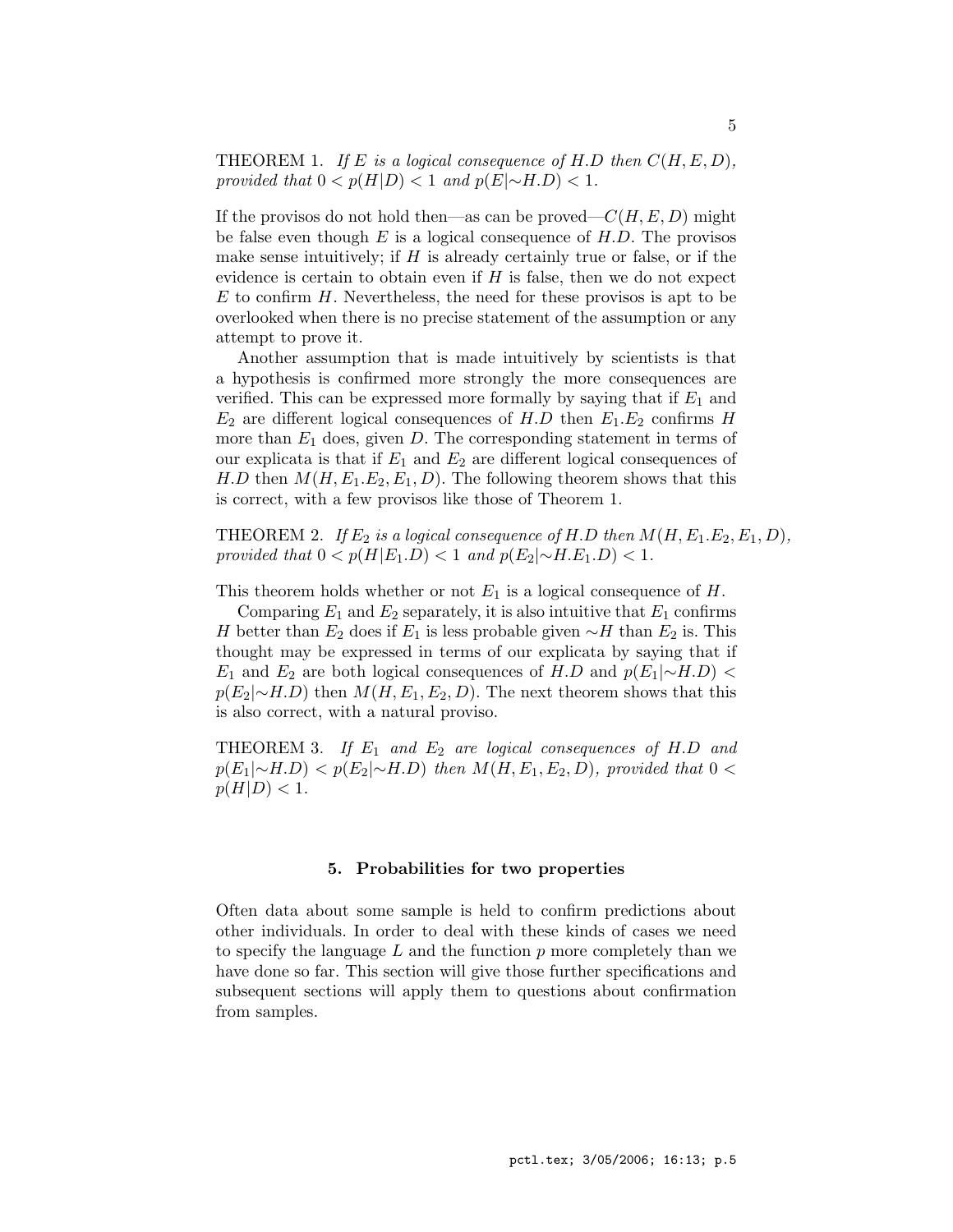THEOREM 1. If E is a logical consequence of H.D then  $C(H, E, D)$ , provided that  $0 < p(H|D) < 1$  and  $p(E|\sim H.D) < 1$ .

If the provisos do not hold then—as can be proved— $C(H, E, D)$  might be false even though  $E$  is a logical consequence of  $H.D$ . The provisos make sense intuitively; if  $H$  is already certainly true or false, or if the evidence is certain to obtain even if  $H$  is false, then we do not expect  $E$  to confirm  $H$ . Nevertheless, the need for these provisos is apt to be overlooked when there is no precise statement of the assumption or any attempt to prove it.

Another assumption that is made intuitively by scientists is that a hypothesis is confirmed more strongly the more consequences are verified. This can be expressed more formally by saying that if  $E_1$  and  $E_2$  are different logical consequences of H.D then  $E_1.E_2$  confirms H more than  $E_1$  does, given D. The corresponding statement in terms of our explicata is that if  $E_1$  and  $E_2$  are different logical consequences of H.D then  $M(H, E_1, E_2, E_1, D)$ . The following theorem shows that this is correct, with a few provisos like those of Theorem 1.

THEOREM 2. If  $E_2$  is a logical consequence of H.D then  $M(H, E_1, E_2, E_1, D)$ , provided that  $0 < p(H|E_1.D) < 1$  and  $p(E_2|∼ H.E_1.D) < 1$ .

This theorem holds whether or not  $E_1$  is a logical consequence of  $H$ .

Comparing  $E_1$  and  $E_2$  separately, it is also intuitive that  $E_1$  confirms H better than  $E_2$  does if  $E_1$  is less probable given  $\sim$ H than  $E_2$  is. This thought may be expressed in terms of our explicata by saying that if E<sub>1</sub> and E<sub>2</sub> are both logical consequences of H.D and  $p(E_1|\sim H.D)$  <  $p(E_2|\sim H.D)$  then  $M(H, E_1, E_2, D)$ . The next theorem shows that this is also correct, with a natural proviso.

THEOREM 3. If  $E_1$  and  $E_2$  are logical consequences of H.D and  $p(E_1|\sim H.D) < p(E_2|\sim H.D)$  then  $M(H, E_1, E_2, D)$ , provided that 0 <  $p(H|D) < 1.$ 

### 5. Probabilities for two properties

Often data about some sample is held to confirm predictions about other individuals. In order to deal with these kinds of cases we need to specify the language  $L$  and the function  $p$  more completely than we have done so far. This section will give those further specifications and subsequent sections will apply them to questions about confirmation from samples.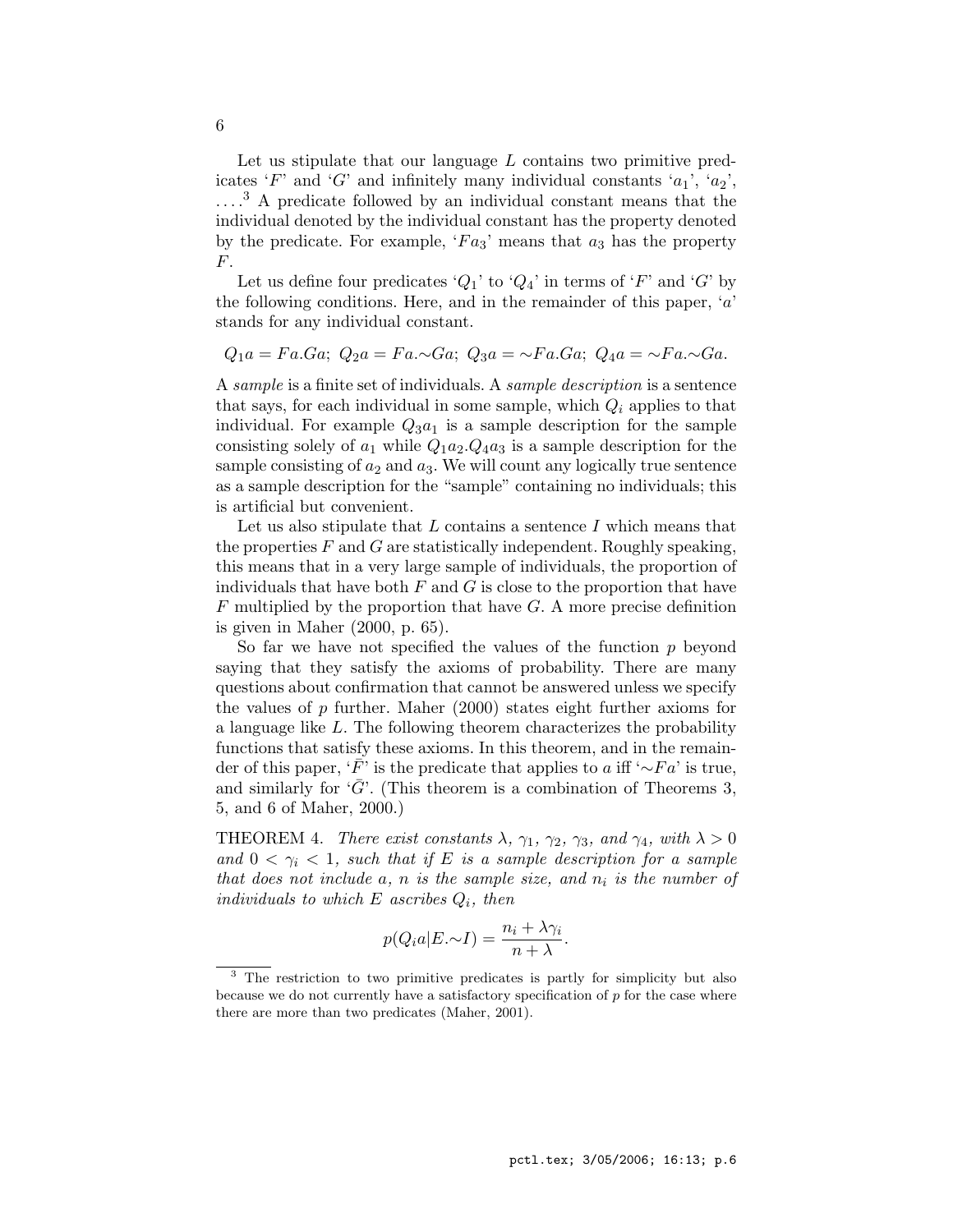Let us stipulate that our language L contains two primitive predicates 'F' and 'G' and infinitely many individual constants ' $a_1$ ', ' $a_2$ ', ....<sup>3</sup> A predicate followed by an individual constant means that the individual denoted by the individual constant has the property denoted by the predicate. For example, ' $Fa_{3}$ ' means that  $a_{3}$  has the property F.

Let us define four predicates ' $Q_1$ ' to ' $Q_4$ ' in terms of 'F' and 'G' by the following conditions. Here, and in the remainder of this paper,  $a'$ stands for any individual constant.

$$
Q_1a = Fa.Ga; \ Q_2a = Fa.\sim Ga; \ Q_3a = \sim Fa.Ga; \ Q_4a = \sim Fa.\sim Ga.
$$

A sample is a finite set of individuals. A sample description is a sentence that says, for each individual in some sample, which  $Q_i$  applies to that individual. For example  $Q_3a_1$  is a sample description for the sample consisting solely of  $a_1$  while  $Q_1a_2.Q_4a_3$  is a sample description for the sample consisting of  $a_2$  and  $a_3$ . We will count any logically true sentence as a sample description for the "sample" containing no individuals; this is artificial but convenient.

Let us also stipulate that  $L$  contains a sentence  $I$  which means that the properties  $F$  and  $G$  are statistically independent. Roughly speaking, this means that in a very large sample of individuals, the proportion of individuals that have both  $F$  and  $G$  is close to the proportion that have  $F$  multiplied by the proportion that have  $G$ . A more precise definition is given in Maher (2000, p. 65).

So far we have not specified the values of the function  $p$  beyond saying that they satisfy the axioms of probability. There are many questions about confirmation that cannot be answered unless we specify the values of  $p$  further. Maher (2000) states eight further axioms for a language like L. The following theorem characterizes the probability functions that satisfy these axioms. In this theorem, and in the remainder of this paper, ' $\overline{F}$ ' is the predicate that applies to a iff '∼ $Fa$ ' is true, and similarly for  $\langle \bar{G}^{\prime} \rangle$ . (This theorem is a combination of Theorems 3, 5, and 6 of Maher, 2000.)

THEOREM 4. There exist constants  $\lambda$ ,  $\gamma_1$ ,  $\gamma_2$ ,  $\gamma_3$ , and  $\gamma_4$ , with  $\lambda > 0$ and  $0 < \gamma_i < 1$ , such that if E is a sample description for a sample that does not include a, n is the sample size, and  $n_i$  is the number of individuals to which E ascribes  $Q_i$ , then

$$
p(Q_i a | E \sim I) = \frac{n_i + \lambda \gamma_i}{n + \lambda}.
$$

<sup>&</sup>lt;sup>3</sup> The restriction to two primitive predicates is partly for simplicity but also because we do not currently have a satisfactory specification of  $p$  for the case where there are more than two predicates (Maher, 2001).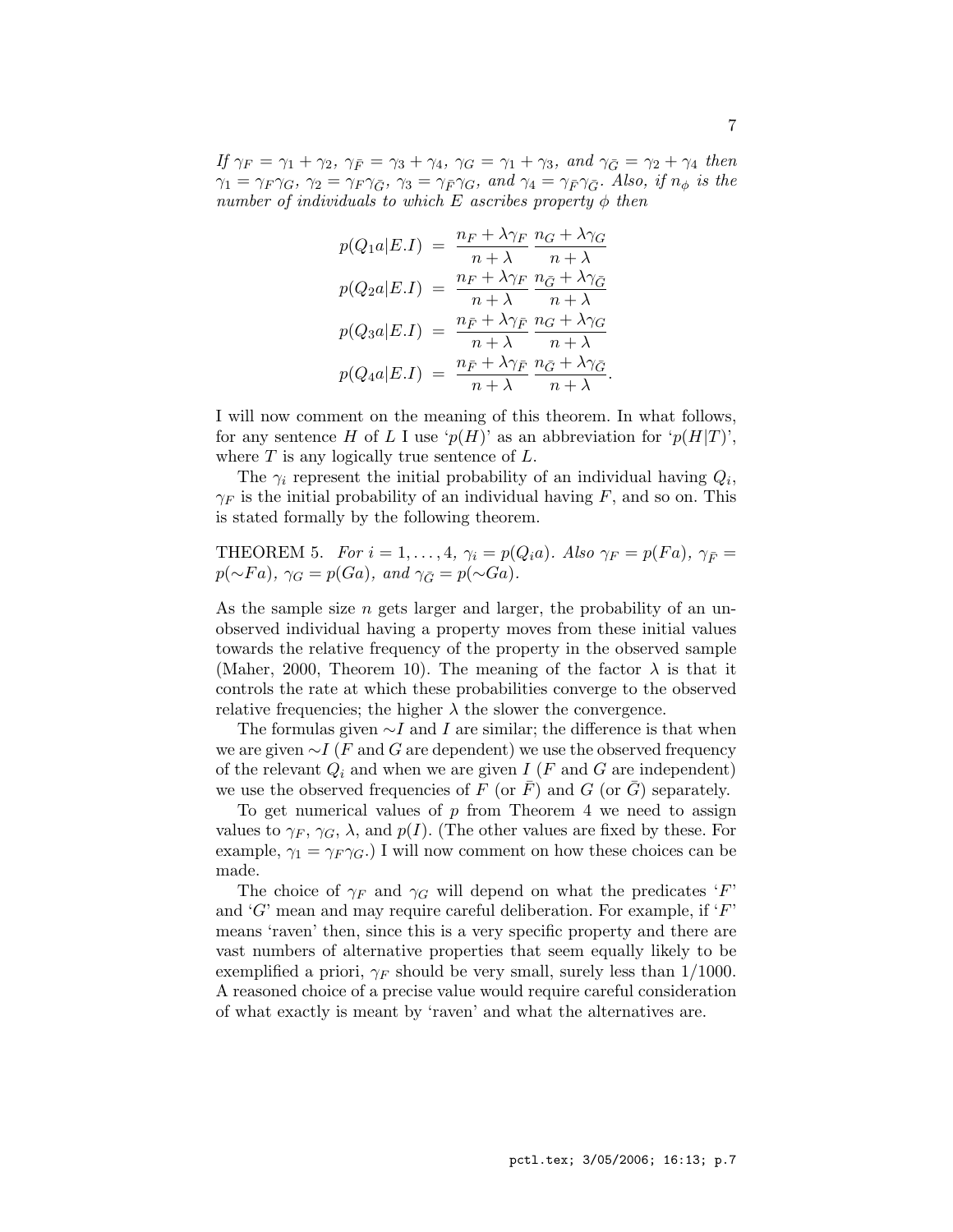If  $\gamma_F = \gamma_1 + \gamma_2$ ,  $\gamma_F = \gamma_3 + \gamma_4$ ,  $\gamma_G = \gamma_1 + \gamma_3$ , and  $\gamma_{\bar{G}} = \gamma_2 + \gamma_4$  then  $\gamma_1 = \gamma_F \gamma_G$ ,  $\gamma_2 = \gamma_F \gamma_{\bar{G}}, \gamma_3 = \gamma_{\bar{F}} \gamma_G$ , and  $\gamma_4 = \gamma_{\bar{F}} \gamma_{\bar{G}}$ . Also, if  $n_\phi$  is the number of individuals to which E ascribes property  $\phi$  then

$$
p(Q_1a|E.I) = \frac{n_F + \lambda \gamma_F}{n + \lambda} \frac{n_G + \lambda \gamma_G}{n + \lambda}
$$

$$
p(Q_2a|E.I) = \frac{n_F + \lambda \gamma_F}{n + \lambda} \frac{n_{\bar{G}} + \lambda \gamma_{\bar{G}}}{n + \lambda}
$$

$$
p(Q_3a|E.I) = \frac{n_{\bar{F}} + \lambda \gamma_{\bar{F}}}{n + \lambda} \frac{n_G + \lambda \gamma_G}{n + \lambda}
$$

$$
p(Q_4a|E.I) = \frac{n_{\bar{F}} + \lambda \gamma_{\bar{F}}}{n + \lambda} \frac{n_{\bar{G}} + \lambda \gamma_{\bar{G}}}{n + \lambda}.
$$

I will now comment on the meaning of this theorem. In what follows, for any sentence H of L I use  $\mathfrak{p}(H)'$  as an abbreviation for  $\mathfrak{p}(H|T)$ ', where  $T$  is any logically true sentence of  $L$ .

The  $\gamma_i$  represent the initial probability of an individual having  $Q_i$ ,  $\gamma_F$  is the initial probability of an individual having F, and so on. This is stated formally by the following theorem.

# THEOREM 5. For  $i = 1, ..., 4$ ,  $\gamma_i = p(Q_i a)$ . Also  $\gamma_F = p(Fa)$ ,  $\gamma_{\overline{F}} =$  $p(\sim Fa)$ ,  $\gamma_G = p(Ga)$ , and  $\gamma_{\bar{G}} = p(\sim Ga)$ .

As the sample size  $n$  gets larger and larger, the probability of an unobserved individual having a property moves from these initial values towards the relative frequency of the property in the observed sample (Maher, 2000, Theorem 10). The meaning of the factor  $\lambda$  is that it controls the rate at which these probabilities converge to the observed relative frequencies; the higher  $\lambda$  the slower the convergence.

The formulas given  $\sim I$  and I are similar; the difference is that when we are given  $\sim I$  (F and G are dependent) we use the observed frequency of the relevant  $Q_i$  and when we are given I (F and G are independent) we use the observed frequencies of F (or F) and G (or G) separately.

To get numerical values of  $p$  from Theorem 4 we need to assign values to  $\gamma_F$ ,  $\gamma_G$ ,  $\lambda$ , and  $p(I)$ . (The other values are fixed by these. For example,  $\gamma_1 = \gamma_F \gamma_G$ .) I will now comment on how these choices can be made.

The choice of  $\gamma_F$  and  $\gamma_G$  will depend on what the predicates 'F' and 'G' mean and may require careful deliberation. For example, if ' $F$ ' means 'raven' then, since this is a very specific property and there are vast numbers of alternative properties that seem equally likely to be exemplified a priori,  $\gamma_F$  should be very small, surely less than 1/1000. A reasoned choice of a precise value would require careful consideration of what exactly is meant by 'raven' and what the alternatives are.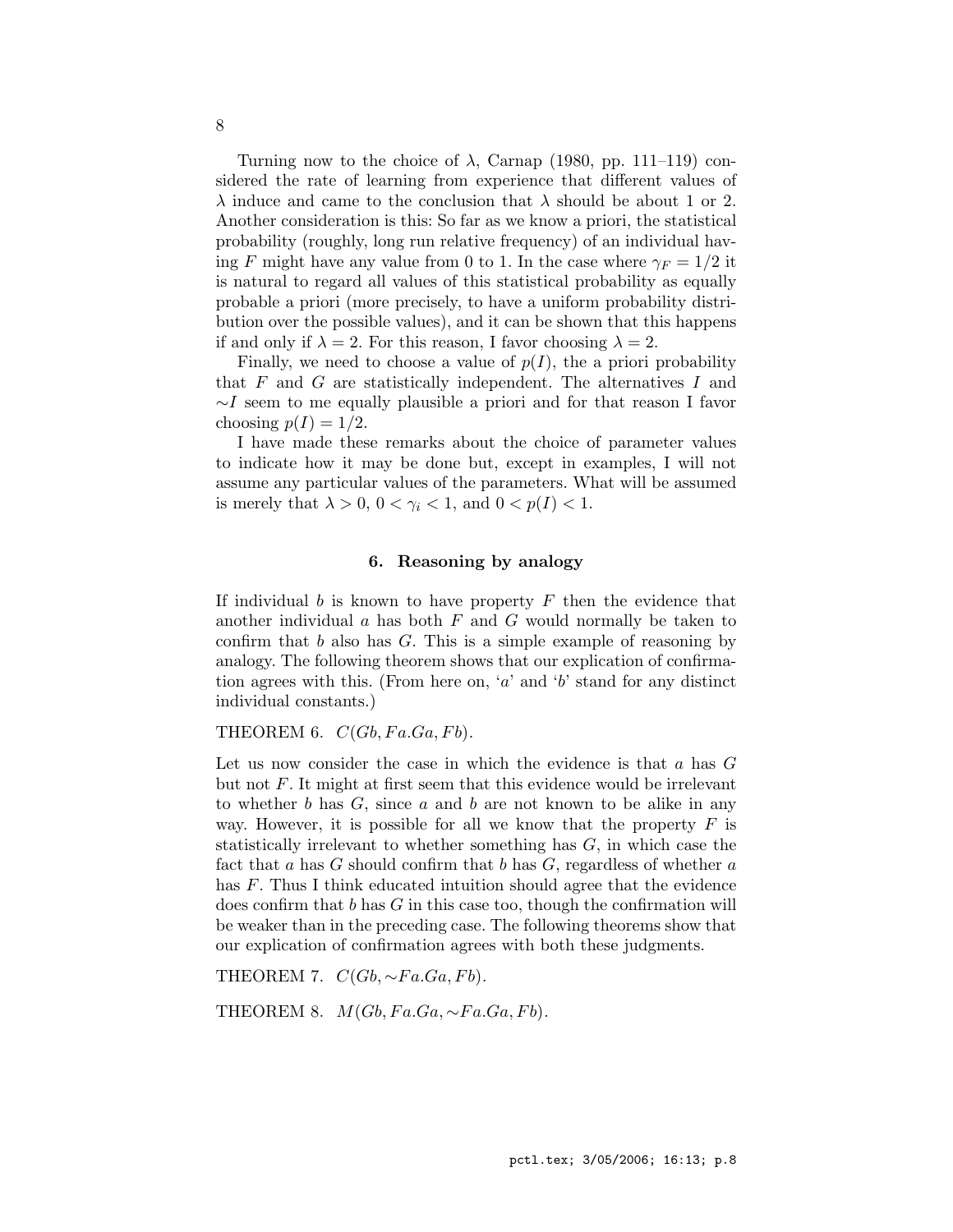Turning now to the choice of  $\lambda$ , Carnap (1980, pp. 111–119) considered the rate of learning from experience that different values of  $\lambda$  induce and came to the conclusion that  $\lambda$  should be about 1 or 2. Another consideration is this: So far as we know a priori, the statistical probability (roughly, long run relative frequency) of an individual having F might have any value from 0 to 1. In the case where  $\gamma_F = 1/2$  it is natural to regard all values of this statistical probability as equally probable a priori (more precisely, to have a uniform probability distribution over the possible values), and it can be shown that this happens if and only if  $\lambda = 2$ . For this reason, I favor choosing  $\lambda = 2$ .

Finally, we need to choose a value of  $p(I)$ , the a priori probability that  $F$  and  $G$  are statistically independent. The alternatives  $I$  and  $\sim I$  seem to me equally plausible a priori and for that reason I favor choosing  $p(I) = 1/2$ .

I have made these remarks about the choice of parameter values to indicate how it may be done but, except in examples, I will not assume any particular values of the parameters. What will be assumed is merely that  $\lambda > 0$ ,  $0 < \gamma_i < 1$ , and  $0 < p(I) < 1$ .

### 6. Reasoning by analogy

If individual b is known to have property  $F$  then the evidence that another individual  $a$  has both  $F$  and  $G$  would normally be taken to confirm that  $b$  also has  $G$ . This is a simple example of reasoning by analogy. The following theorem shows that our explication of confirmation agrees with this. (From here on, 'a' and 'b' stand for any distinct individual constants.)

THEOREM 6.  $C(Gb, Fa,Ga, Fb)$ .

Let us now consider the case in which the evidence is that  $a$  has  $G$ but not F. It might at first seem that this evidence would be irrelevant to whether b has  $G$ , since a and b are not known to be alike in any way. However, it is possible for all we know that the property  $F$  is statistically irrelevant to whether something has  $G$ , in which case the fact that  $a$  has  $G$  should confirm that  $b$  has  $G$ , regardless of whether  $a$ has F. Thus I think educated intuition should agree that the evidence does confirm that  $b$  has  $G$  in this case too, though the confirmation will be weaker than in the preceding case. The following theorems show that our explication of confirmation agrees with both these judgments.

THEOREM 7.  $C(Gb, \sim Fa.Ga, Fb)$ .

THEOREM 8.  $M(Gb, Fa.Ga, \sim Fa.Ga, Fb)$ .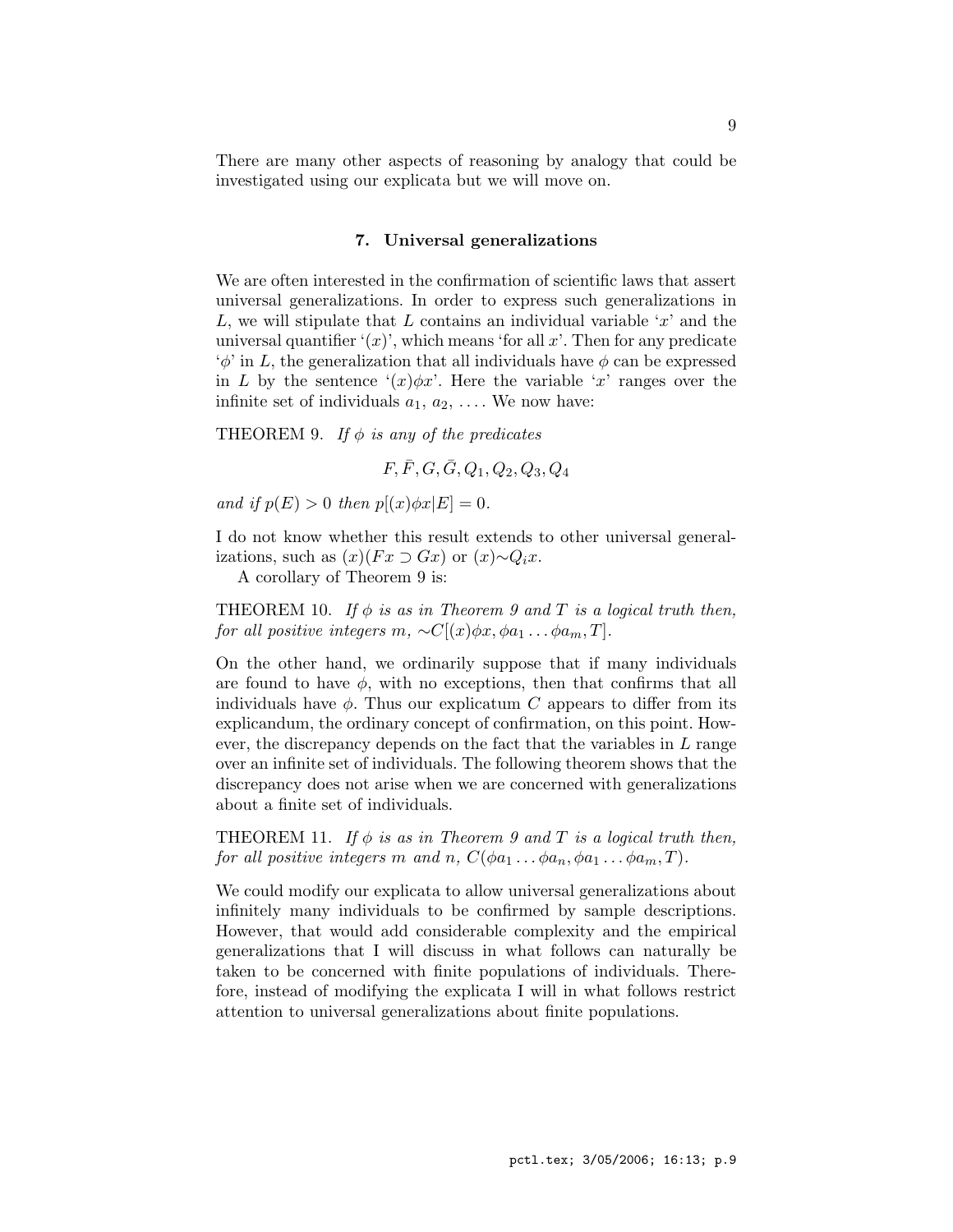There are many other aspects of reasoning by analogy that could be investigated using our explicata but we will move on.

# 7. Universal generalizations

We are often interested in the confirmation of scientific laws that assert universal generalizations. In order to express such generalizations in L, we will stipulate that L contains an individual variable  $x'$  and the universal quantifier  $'(x)$ , which means 'for all x'. Then for any predicate  $\phi$  in L, the generalization that all individuals have  $\phi$  can be expressed in L by the sentence ' $(x)\phi x$ '. Here the variable 'x' ranges over the infinite set of individuals  $a_1, a_2, \ldots$ . We now have:

THEOREM 9. If  $\phi$  is any of the predicates

$$
F, \bar F, G, \bar G, Q_1, Q_2, Q_3, Q_4
$$

and if  $p(E) > 0$  then  $p(x)\phi x|E| = 0$ .

I do not know whether this result extends to other universal generalizations, such as  $(x)(Fx \supset Gx)$  or  $(x) \sim Q_i x$ .

A corollary of Theorem 9 is:

THEOREM 10. If  $\phi$  is as in Theorem 9 and T is a logical truth then, for all positive integers m,  $\sim C[(x)\phi x, \phi a_1 \dots \phi a_m]$ .

On the other hand, we ordinarily suppose that if many individuals are found to have  $\phi$ , with no exceptions, then that confirms that all individuals have  $\phi$ . Thus our explicatum C appears to differ from its explicandum, the ordinary concept of confirmation, on this point. However, the discrepancy depends on the fact that the variables in  $L$  range over an infinite set of individuals. The following theorem shows that the discrepancy does not arise when we are concerned with generalizations about a finite set of individuals.

THEOREM 11. If  $\phi$  is as in Theorem 9 and T is a logical truth then, for all positive integers m and n,  $C(\phi a_1 \dots \phi a_n, \phi a_1 \dots \phi a_m, T)$ .

We could modify our explicata to allow universal generalizations about infinitely many individuals to be confirmed by sample descriptions. However, that would add considerable complexity and the empirical generalizations that I will discuss in what follows can naturally be taken to be concerned with finite populations of individuals. Therefore, instead of modifying the explicata I will in what follows restrict attention to universal generalizations about finite populations.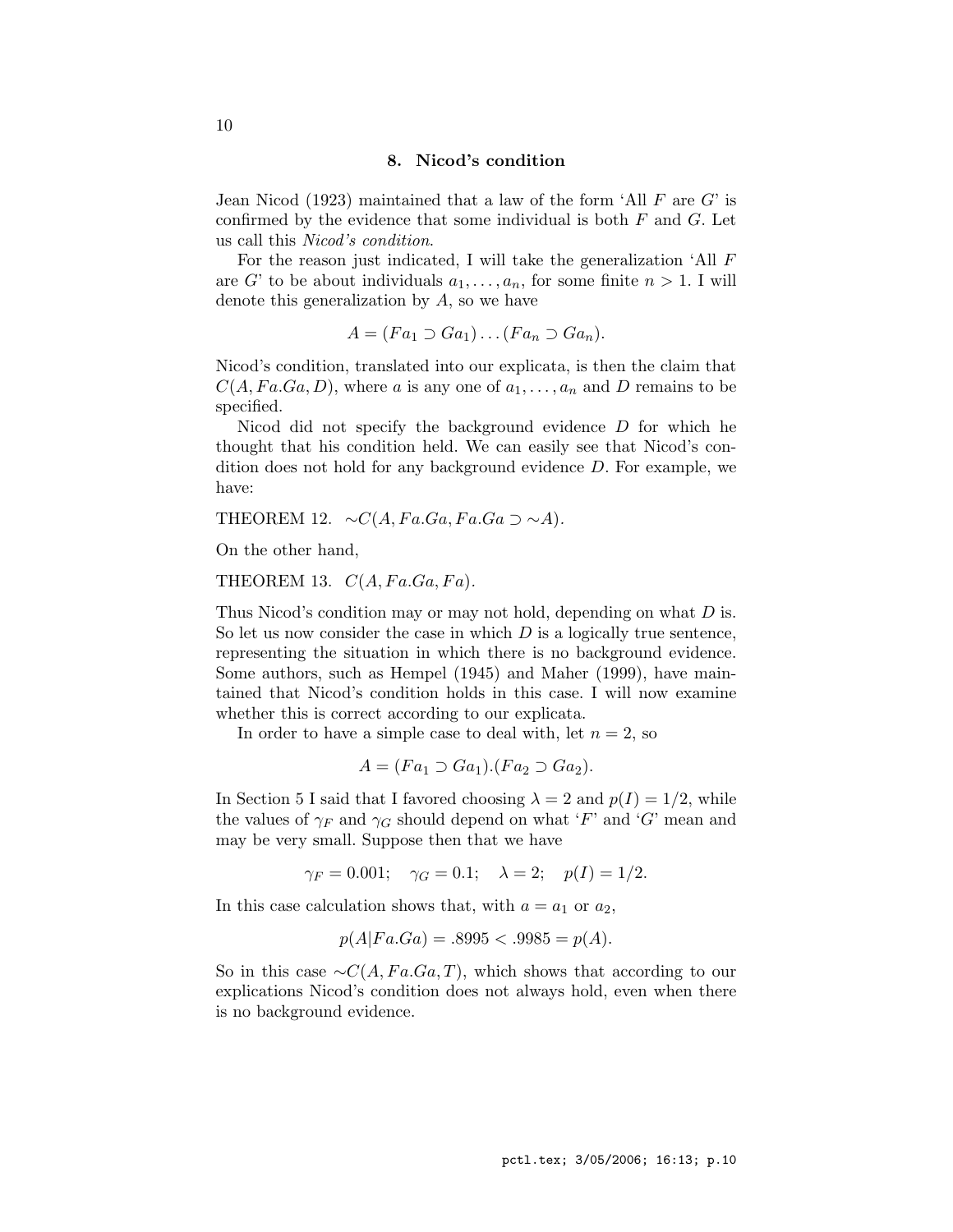#### 8. Nicod's condition

Jean Nicod (1923) maintained that a law of the form 'All  $F$  are  $G$ ' is confirmed by the evidence that some individual is both  $F$  and  $G$ . Let us call this Nicod's condition.

For the reason just indicated, I will take the generalization 'All F are G' to be about individuals  $a_1, \ldots, a_n$ , for some finite  $n > 1$ . I will denote this generalization by  $A$ , so we have

$$
A = (Fa_1 \supset Ga_1) \dots (Fa_n \supset Ga_n).
$$

Nicod's condition, translated into our explicata, is then the claim that  $C(A, Fa.Ga, D)$ , where a is any one of  $a_1, \ldots, a_n$  and D remains to be specified.

Nicod did not specify the background evidence D for which he thought that his condition held. We can easily see that Nicod's condition does not hold for any background evidence D. For example, we have:

THEOREM 12.  $\sim C(A, Fa.Ga, Fa.Ga \supset \sim A)$ .

On the other hand,

THEOREM 13.  $C(A, Fa, Ga, Fa)$ .

Thus Nicod's condition may or may not hold, depending on what D is. So let us now consider the case in which  $D$  is a logically true sentence, representing the situation in which there is no background evidence. Some authors, such as Hempel (1945) and Maher (1999), have maintained that Nicod's condition holds in this case. I will now examine whether this is correct according to our explicata.

In order to have a simple case to deal with, let  $n = 2$ , so

$$
A = (Fa1 \supset Ga1).(Fa2 \supset Ga2).
$$

In Section 5 I said that I favored choosing  $\lambda = 2$  and  $p(I) = 1/2$ , while the values of  $\gamma_F$  and  $\gamma_G$  should depend on what 'F' and 'G' mean and may be very small. Suppose then that we have

$$
\gamma_F = 0.001;
$$
  $\gamma_G = 0.1;$   $\lambda = 2;$   $p(I) = 1/2.$ 

In this case calculation shows that, with  $a = a_1$  or  $a_2$ ,

$$
p(A|Fa.Ga) = .8995 < .9985 = p(A).
$$

So in this case  $\sim C(A, Fa.Ga,T)$ , which shows that according to our explications Nicod's condition does not always hold, even when there is no background evidence.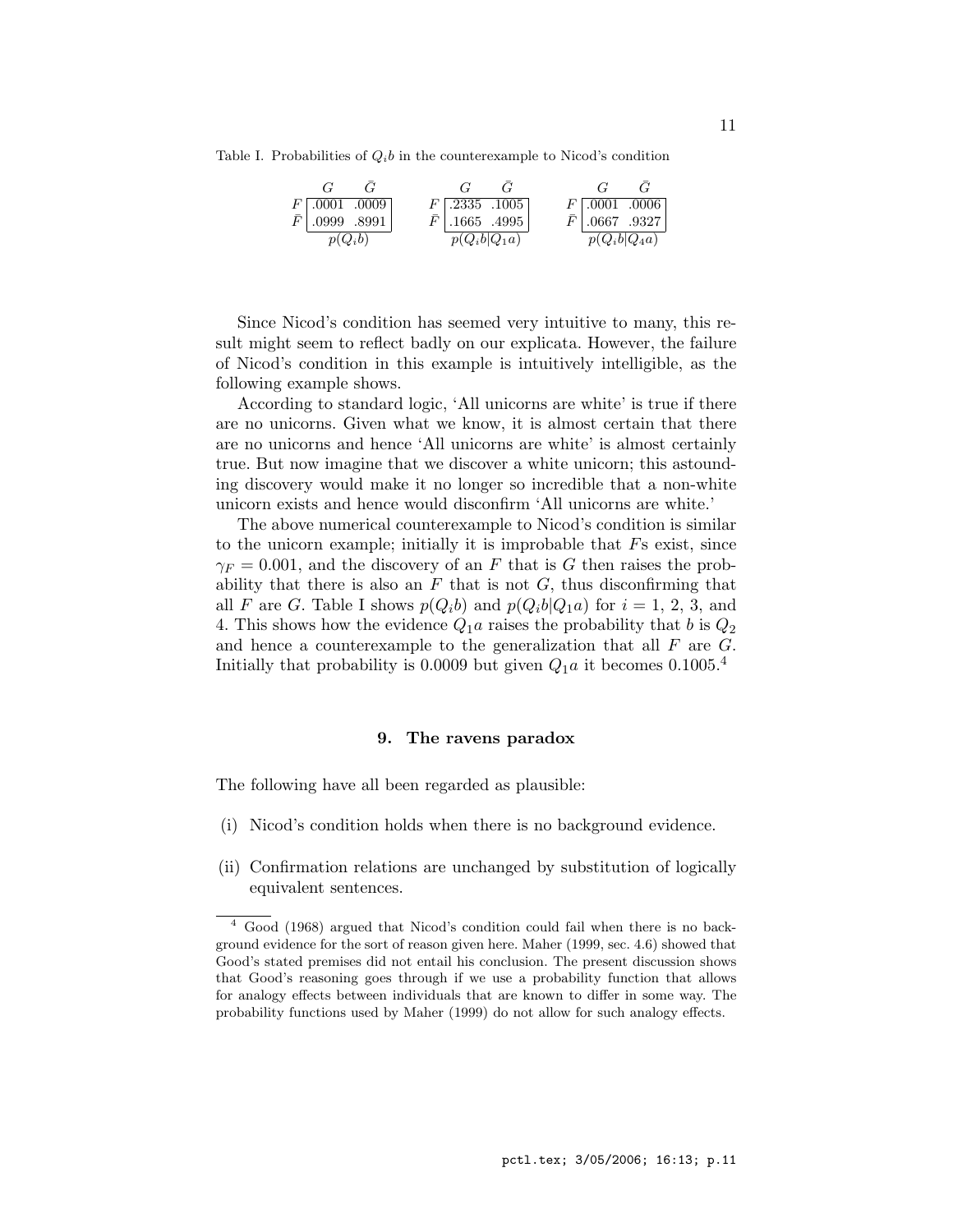Table I. Probabilities of  $Q_i b$  in the counterexample to Nicod's condition

| G.,                  | 72                 |                      | -62                         |  |
|----------------------|--------------------|----------------------|-----------------------------|--|
| $F \mid .0001$ .0009 |                    | $F \mid .2335$ .1005 | $F \mid .0001$ .0006        |  |
| $\bar{F}$ .0999.8991 |                    | $\bar{F}$ .1665.4995 | $F \mid .0667$ .9327        |  |
| $p(Q_i b)$           | $p(Q_i b   Q_1 a)$ |                      | $\overline{p(Q_i b Q_4 a)}$ |  |

Since Nicod's condition has seemed very intuitive to many, this result might seem to reflect badly on our explicata. However, the failure of Nicod's condition in this example is intuitively intelligible, as the following example shows.

According to standard logic, 'All unicorns are white' is true if there are no unicorns. Given what we know, it is almost certain that there are no unicorns and hence 'All unicorns are white' is almost certainly true. But now imagine that we discover a white unicorn; this astounding discovery would make it no longer so incredible that a non-white unicorn exists and hence would disconfirm 'All unicorns are white.'

The above numerical counterexample to Nicod's condition is similar to the unicorn example; initially it is improbable that  $Fs$  exist, since  $\gamma_F = 0.001$ , and the discovery of an F that is G then raises the probability that there is also an  $F$  that is not  $G$ , thus disconfirming that all F are G. Table I shows  $p(Q_i b)$  and  $p(Q_i b | Q_1 a)$  for  $i = 1, 2, 3$ , and 4. This shows how the evidence  $Q_1a$  raises the probability that b is  $Q_2$ and hence a counterexample to the generalization that all  $F$  are  $G$ . Initially that probability is 0.0009 but given  $Q_1a$  it becomes 0.1005.<sup>4</sup>

#### 9. The ravens paradox

The following have all been regarded as plausible:

- (i) Nicod's condition holds when there is no background evidence.
- (ii) Confirmation relations are unchanged by substitution of logically equivalent sentences.

<sup>4</sup> Good (1968) argued that Nicod's condition could fail when there is no background evidence for the sort of reason given here. Maher (1999, sec. 4.6) showed that Good's stated premises did not entail his conclusion. The present discussion shows that Good's reasoning goes through if we use a probability function that allows for analogy effects between individuals that are known to differ in some way. The probability functions used by Maher (1999) do not allow for such analogy effects.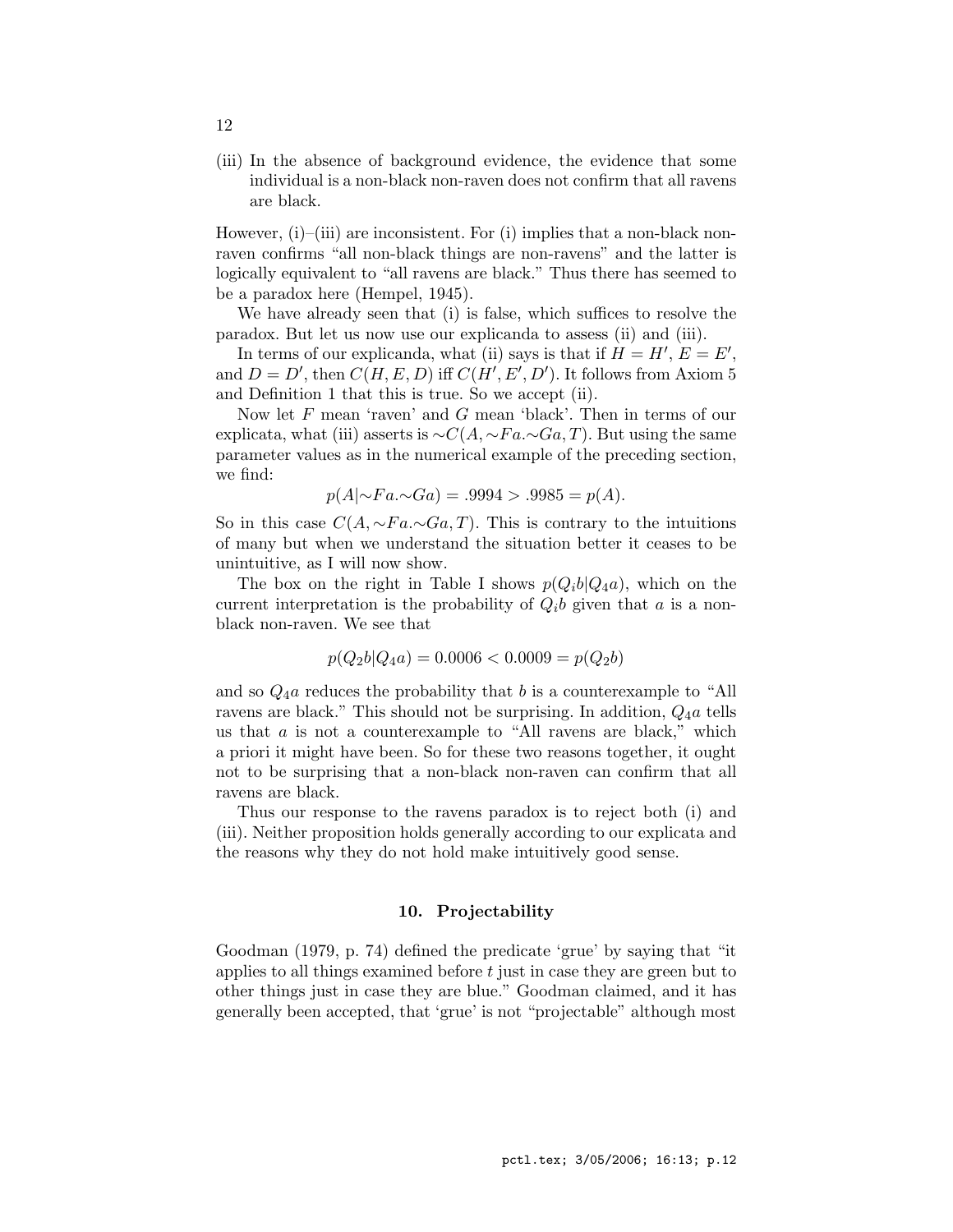(iii) In the absence of background evidence, the evidence that some individual is a non-black non-raven does not confirm that all ravens are black.

However, (i)–(iii) are inconsistent. For (i) implies that a non-black nonraven confirms "all non-black things are non-ravens" and the latter is logically equivalent to "all ravens are black." Thus there has seemed to be a paradox here (Hempel, 1945).

We have already seen that (i) is false, which suffices to resolve the paradox. But let us now use our explicanda to assess (ii) and (iii).

In terms of our explicanda, what (ii) says is that if  $H = H', E = E',$ and  $D = D'$ , then  $C(H, E, D)$  iff  $C(H', E', D')$ . It follows from Axiom 5 and Definition 1 that this is true. So we accept (ii).

Now let F mean 'raven' and G mean 'black'. Then in terms of our explicata, what (iii) asserts is  $\sim C(A, \sim Fa, \sim Ga, T)$ . But using the same parameter values as in the numerical example of the preceding section, we find:

$$
p(A|\sim Fa.\sim Ga) = .9994 > .9985 = p(A).
$$

So in this case  $C(A, \neg Fa.\neg Ga,T)$ . This is contrary to the intuitions of many but when we understand the situation better it ceases to be unintuitive, as I will now show.

The box on the right in Table I shows  $p(Q_i b|Q_4 a)$ , which on the current interpretation is the probability of  $Q_i b$  given that a is a nonblack non-raven. We see that

$$
p(Q_2b|Q_4a) = 0.0006 < 0.0009 = p(Q_2b)
$$

and so  $Q_4a$  reduces the probability that b is a counterexample to "All ravens are black." This should not be surprising. In addition,  $Q_4a$  tells us that  $a$  is not a counterexample to "All ravens are black," which a priori it might have been. So for these two reasons together, it ought not to be surprising that a non-black non-raven can confirm that all ravens are black.

Thus our response to the ravens paradox is to reject both (i) and (iii). Neither proposition holds generally according to our explicata and the reasons why they do not hold make intuitively good sense.

### 10. Projectability

Goodman (1979, p. 74) defined the predicate 'grue' by saying that "it applies to all things examined before t just in case they are green but to other things just in case they are blue." Goodman claimed, and it has generally been accepted, that 'grue' is not "projectable" although most

12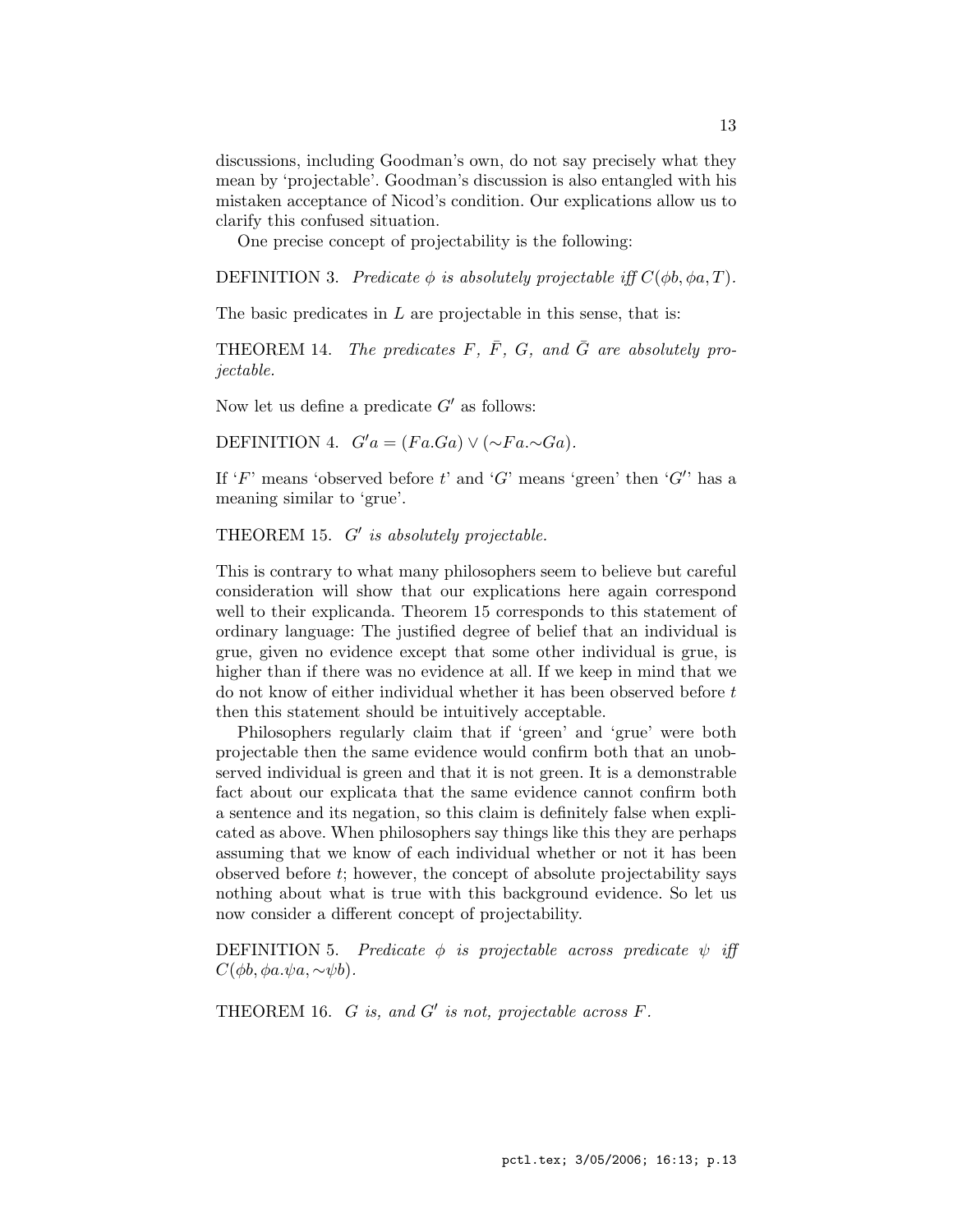discussions, including Goodman's own, do not say precisely what they mean by 'projectable'. Goodman's discussion is also entangled with his mistaken acceptance of Nicod's condition. Our explications allow us to clarify this confused situation.

One precise concept of projectability is the following:

DEFINITION 3. Predicate  $\phi$  is absolutely projectable iff  $C(\phi b, \phi a, T)$ .

The basic predicates in  $L$  are projectable in this sense, that is:

THEOREM 14. The predicates F,  $\overline{F}$ , G, and  $\overline{G}$  are absolutely projectable.

Now let us define a predicate  $G'$  as follows:

DEFINITION 4.  $G'a = (Fa.Ga) \vee (\sim Fa. \sim Ga)$ .

If 'F' means 'observed before t' and 'G' means 'green' then 'G'' has a meaning similar to 'grue'.

THEOREM 15.  $G'$  is absolutely projectable.

This is contrary to what many philosophers seem to believe but careful consideration will show that our explications here again correspond well to their explicanda. Theorem 15 corresponds to this statement of ordinary language: The justified degree of belief that an individual is grue, given no evidence except that some other individual is grue, is higher than if there was no evidence at all. If we keep in mind that we do not know of either individual whether it has been observed before  $t$ then this statement should be intuitively acceptable.

Philosophers regularly claim that if 'green' and 'grue' were both projectable then the same evidence would confirm both that an unobserved individual is green and that it is not green. It is a demonstrable fact about our explicata that the same evidence cannot confirm both a sentence and its negation, so this claim is definitely false when explicated as above. When philosophers say things like this they are perhaps assuming that we know of each individual whether or not it has been observed before t; however, the concept of absolute projectability says nothing about what is true with this background evidence. So let us now consider a different concept of projectability.

DEFINITION 5. Predicate  $\phi$  is projectable across predicate  $\psi$  iff  $C(\phi b, \phi a. \psi a, \sim \psi b).$ 

THEOREM 16.  $G$  is, and  $G'$  is not, projectable across  $F$ .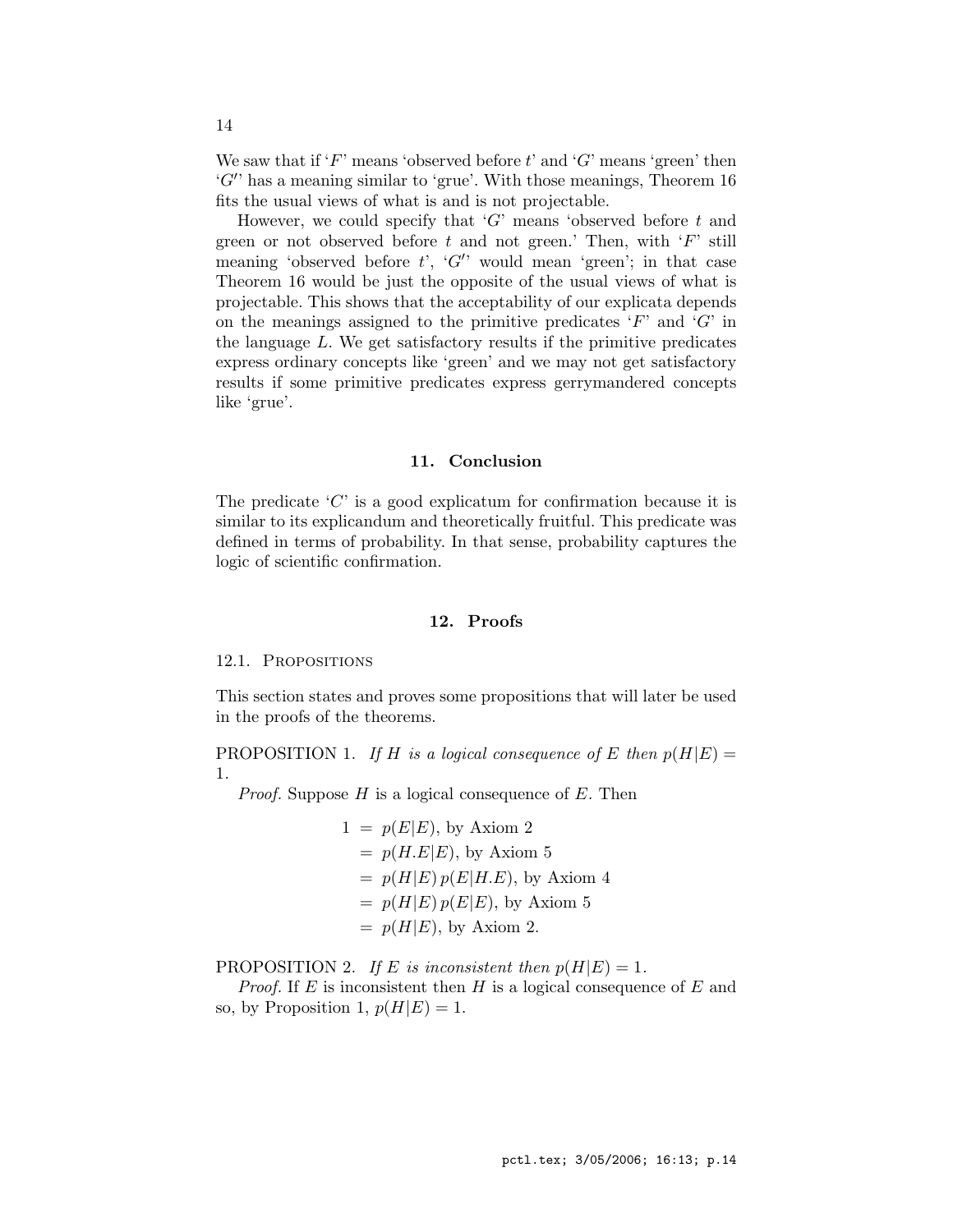We saw that if 'F' means 'observed before t' and 'G' means 'green' then  $G'$  has a meaning similar to 'grue'. With those meanings, Theorem 16 fits the usual views of what is and is not projectable.

However, we could specify that  $'G'$  means 'observed before t and green or not observed before t and not green.' Then, with  $F'$  still meaning 'observed before  $t'$ , ' $G''$  would mean 'green'; in that case Theorem 16 would be just the opposite of the usual views of what is projectable. This shows that the acceptability of our explicata depends on the meanings assigned to the primitive predicates  $F'$  and  $G'$  in the language  $L$ . We get satisfactory results if the primitive predicates express ordinary concepts like 'green' and we may not get satisfactory results if some primitive predicates express gerrymandered concepts like 'grue'.

# 11. Conclusion

The predicate  $C'$  is a good explicatum for confirmation because it is similar to its explicandum and theoretically fruitful. This predicate was defined in terms of probability. In that sense, probability captures the logic of scientific confirmation.

# 12. Proofs

#### 12.1. PROPOSITIONS

This section states and proves some propositions that will later be used in the proofs of the theorems.

PROPOSITION 1. If H is a logical consequence of E then  $p(H|E) =$ 1.

*Proof.* Suppose  $H$  is a logical consequence of  $E$ . Then

$$
1 = p(E|E), \text{ by Axiom 2}
$$
  
=  $p(H.E|E), \text{ by Axiom 5}$   
=  $p(H|E)p(E|H.E), \text{ by Axiom 4}$   
=  $p(H|E)p(E|E), \text{ by Axiom 5}$   
=  $p(H|E), \text{ by Axiom 2}.$ 

PROPOSITION 2. If E is inconsistent then  $p(H|E) = 1$ .

*Proof.* If  $E$  is inconsistent then  $H$  is a logical consequence of  $E$  and so, by Proposition 1,  $p(H|E) = 1$ .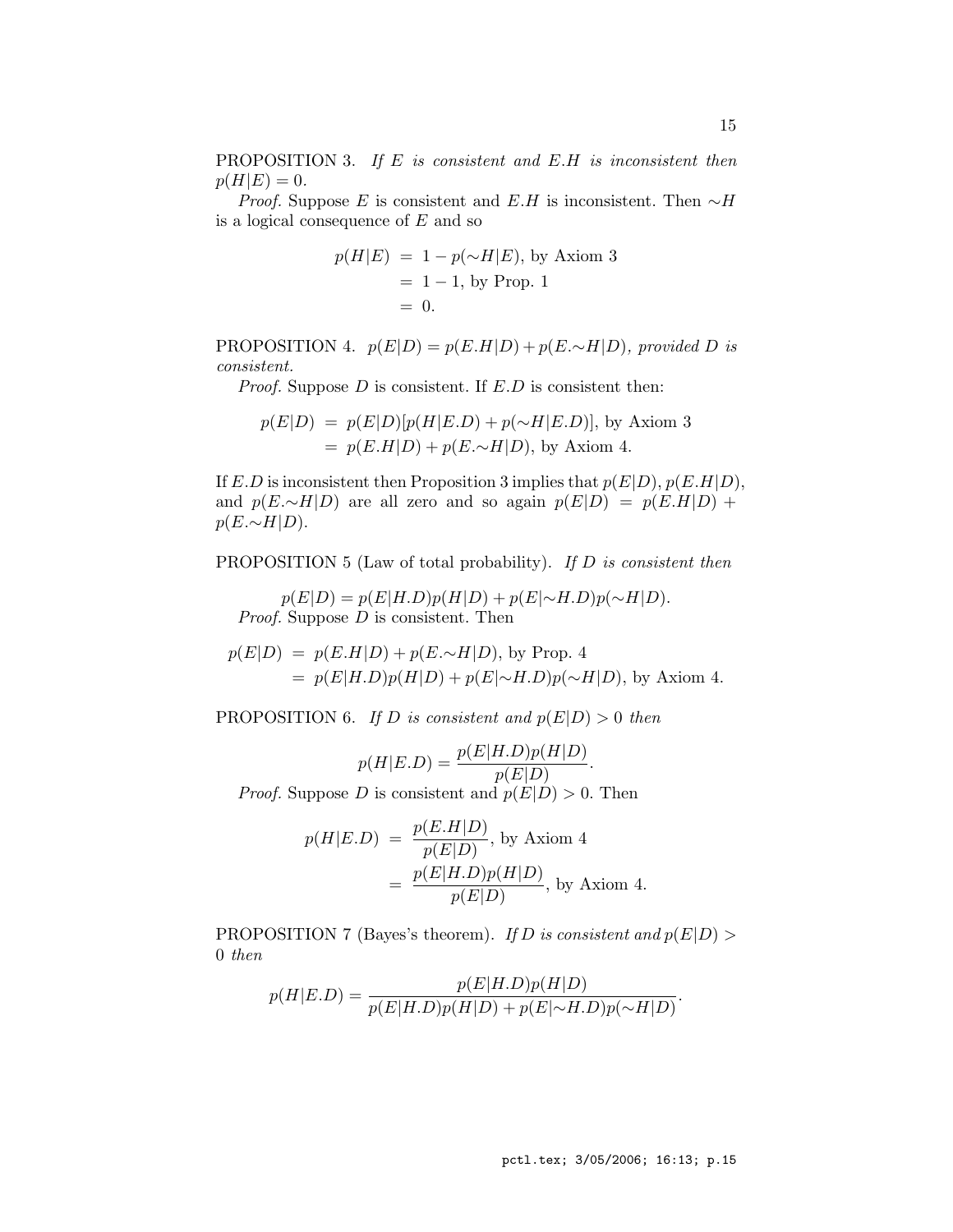PROPOSITION 3. If  $E$  is consistent and  $E.H$  is inconsistent then  $p(H|E) = 0.$ 

*Proof.* Suppose E is consistent and E.H is inconsistent. Then  $\sim$ H is a logical consequence of E and so

$$
p(H|E) = 1 - p(\sim H|E), \text{ by Axiom 3}
$$

$$
= 1 - 1, \text{ by Prop. 1}
$$

$$
= 0.
$$

PROPOSITION 4.  $p(E|D) = p(E.H|D) + p(E.\sim H|D)$ , provided D is consistent.

*Proof.* Suppose  $D$  is consistent. If  $E.D$  is consistent then:

$$
p(E|D) = p(E|D)[p(H|E.D) + p(\sim H|E.D)], \text{ by Axiom 3}
$$
  
= 
$$
p(E.H|D) + p(E.\sim H|D), \text{ by Axiom 4}.
$$

If E.D is inconsistent then Proposition 3 implies that  $p(E|D)$ ,  $p(E.H|D)$ , and  $p(E.\sim H|D)$  are all zero and so again  $p(E|D) = p(E.H|D) + p(E \sim H|D)$  $p(E.\sim H|D)$ .

PROPOSITION 5 (Law of total probability). If  $D$  is consistent then

 $p(E|D) = p(E|H.D)p(H|D) + p(E|\sim H.D)p(\sim H|D).$ *Proof.* Suppose  $D$  is consistent. Then

$$
p(E|D) = p(E.H|D) + p(E \sim H|D), \text{ by Prop. 4}
$$
  
= 
$$
p(E|H.D)p(H|D) + p(E|\sim H.D)p(\sim H|D), \text{ by Axiom 4.}
$$

PROPOSITION 6. If D is consistent and  $p(E|D) > 0$  then

$$
p(H|E.D) = \frac{p(E|H.D)p(H|D)}{p(E|D)}.
$$

*Proof.* Suppose D is consistent and  $p(E|D) > 0$ . Then

$$
p(H|E.D) = \frac{p(E.H|D)}{p(E|D)}, \text{ by Axiom 4}
$$

$$
= \frac{p(E|H.D)p(H|D)}{p(E|D)}, \text{ by Axiom 4.}
$$

PROPOSITION 7 (Bayes's theorem). If D is consistent and  $p(E|D)$ 0 then

$$
p(H|E.D) = \frac{p(E|H.D)p(H|D)}{p(E|H.D)p(H|D) + p(E|\sim H.D)p(\sim H|D)}.
$$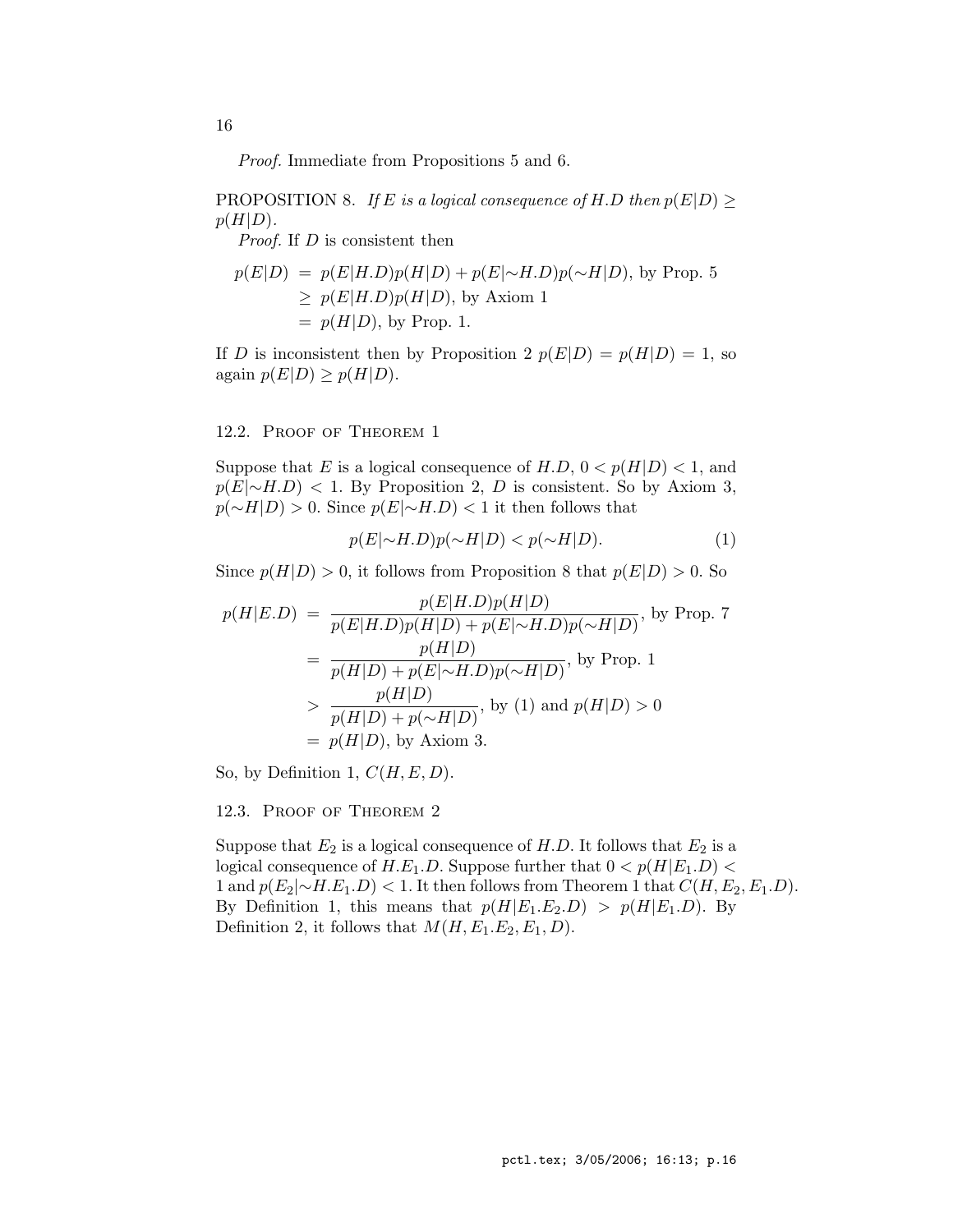Proof. Immediate from Propositions 5 and 6.

PROPOSITION 8. If E is a logical consequence of H.D then  $p(E|D) \ge$  $p(H|D)$ .

Proof. If D is consistent then

$$
p(E|D) = p(E|H.D)p(H|D) + p(E|\sim H.D)p(\sim H|D)
$$
, by Prop. 5  
\n
$$
\geq p(E|H.D)p(H|D)
$$
, by Axiom 1  
\n
$$
= p(H|D)
$$
, by Prop. 1.

If D is inconsistent then by Proposition 2  $p(E|D) = p(H|D) = 1$ , so again  $p(E|D) \geq p(H|D)$ .

# 12.2. Proof of Theorem 1

Suppose that E is a logical consequence of  $H.D$ ,  $0 < p(H|D) < 1$ , and  $p(E|\sim H.D)$  < 1. By Proposition 2, D is consistent. So by Axiom 3,  $p(\sim H|D) > 0$ . Since  $p(E|\sim H.D) < 1$  it then follows that

$$
p(E|\sim H.D)p(\sim H|D) < p(\sim H|D). \tag{1}
$$

Since  $p(H|D) > 0$ , it follows from Proposition 8 that  $p(E|D) > 0$ . So

$$
p(H|E.D) = \frac{p(E|H.D)p(H|D)}{p(E|H.D)p(H|D) + p(E|\sim H.D)p(\sim H|D)}, \text{ by Prop. 7}
$$

$$
= \frac{p(H|D)}{p(H|D) + p(E|\sim H.D)p(\sim H|D)}, \text{ by Prop. 1}
$$

$$
> \frac{p(H|D)}{p(H|D) + p(\sim H|D)}, \text{ by (1) and } p(H|D) > 0
$$

$$
= p(H|D), \text{ by Axiom 3.}
$$

So, by Definition 1,  $C(H, E, D)$ .

# 12.3. Proof of Theorem 2

Suppose that  $E_2$  is a logical consequence of H.D. It follows that  $E_2$  is a logical consequence of  $H.E_1.D$ . Suppose further that  $0 < p(H|E_1.D)$ 1 and  $p(E_2|\sim H.E_1.D)$  < 1. It then follows from Theorem 1 that  $C(H, E_2, E_1.D)$ . By Definition 1, this means that  $p(H|E_1.E_2.D) > p(H|E_1.D)$ . By Definition 2, it follows that  $M(H, E_1, E_2, E_1, D)$ .

16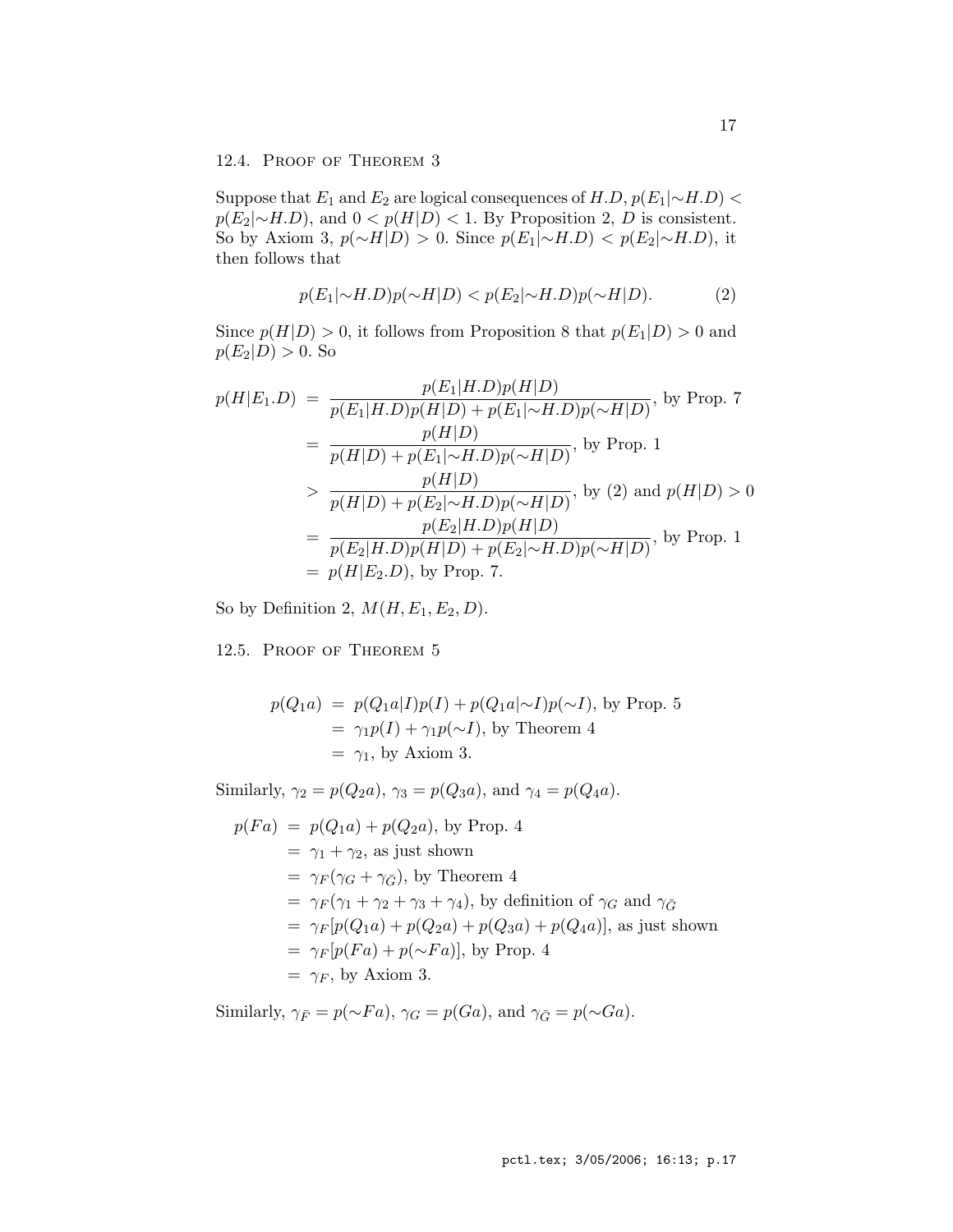#### 12.4. Proof of Theorem 3

Suppose that  $E_1$  and  $E_2$  are logical consequences of  $H.D, p(E_1|\sim H.D)$  <  $p(E_2|\sim H.D)$ , and  $0 < p(H|D) < 1$ . By Proposition 2, D is consistent. So by Axiom 3,  $p(\sim H|D) > 0$ . Since  $p(E_1|\sim H.D) < p(E_2|\sim H.D)$ , it then follows that

$$
p(E_1|\sim H.D)p(\sim H|D) < p(E_2|\sim H.D)p(\sim H|D). \tag{2}
$$

Since  $p(H|D) > 0$ , it follows from Proposition 8 that  $p(E_1|D) > 0$  and  $p(E_2|D) > 0.$  So

$$
p(H|E_1.D) = \frac{p(E_1|H.D)p(H|D)}{p(E_1|H.D)p(H|D) + p(E_1|\sim H.D)p(\sim H|D)}, \text{ by Prop. 7}
$$
  
= 
$$
\frac{p(H|D)}{p(H|D) + p(E_1|\sim H.D)p(\sim H|D)}, \text{ by Prop. 1}
$$
  
> 
$$
\frac{p(H|D)}{p(H|D) + p(E_2|\sim H.D)p(\sim H|D)}, \text{ by (2) and } p(H|D) > 0
$$
  
= 
$$
\frac{p(E_2|H.D)p(H|D)}{p(E_2|H.D)p(H|D) + p(E_2|\sim H.D)p(\sim H|D)}, \text{ by Prop. 1}
$$
  
= 
$$
p(H|E_2.D), \text{ by Prop. 7.}
$$

So by Definition 2,  $M(H, E_1, E_2, D)$ .

12.5. Proof of Theorem 5

$$
p(Q_1a) = p(Q_1a|I)p(I) + p(Q_1a|\sim I)p(\sim I)
$$
, by Prop. 5  
=  $\gamma_1 p(I) + \gamma_1 p(\sim I)$ , by Theorem 4  
=  $\gamma_1$ , by Axiom 3.

Similarly,  $\gamma_2 = p(Q_2 a)$ ,  $\gamma_3 = p(Q_3 a)$ , and  $\gamma_4 = p(Q_4 a)$ .

$$
p(Fa) = p(Q_1a) + p(Q_2a), \text{ by Prop. 4}
$$
  
=  $\gamma_1 + \gamma_2$ , as just shown  
=  $\gamma_F(\gamma_G + \gamma_{\bar{G}})$ , by Theorem 4  
=  $\gamma_F(\gamma_1 + \gamma_2 + \gamma_3 + \gamma_4)$ , by definition of  $\gamma_G$  and  $\gamma_{\bar{G}}$   
=  $\gamma_F[p(Q_1a) + p(Q_2a) + p(Q_3a) + p(Q_4a)]$ , as just shown  
=  $\gamma_F[p(Fa) + p(\sim Fa)]$ , by Prop. 4  
=  $\gamma_F$ , by Axiom 3.

Similarly,  $\gamma_{\overline{F}} = p(\sim Fa)$ ,  $\gamma_G = p(Ga)$ , and  $\gamma_{\overline{G}} = p(\sim Ga)$ .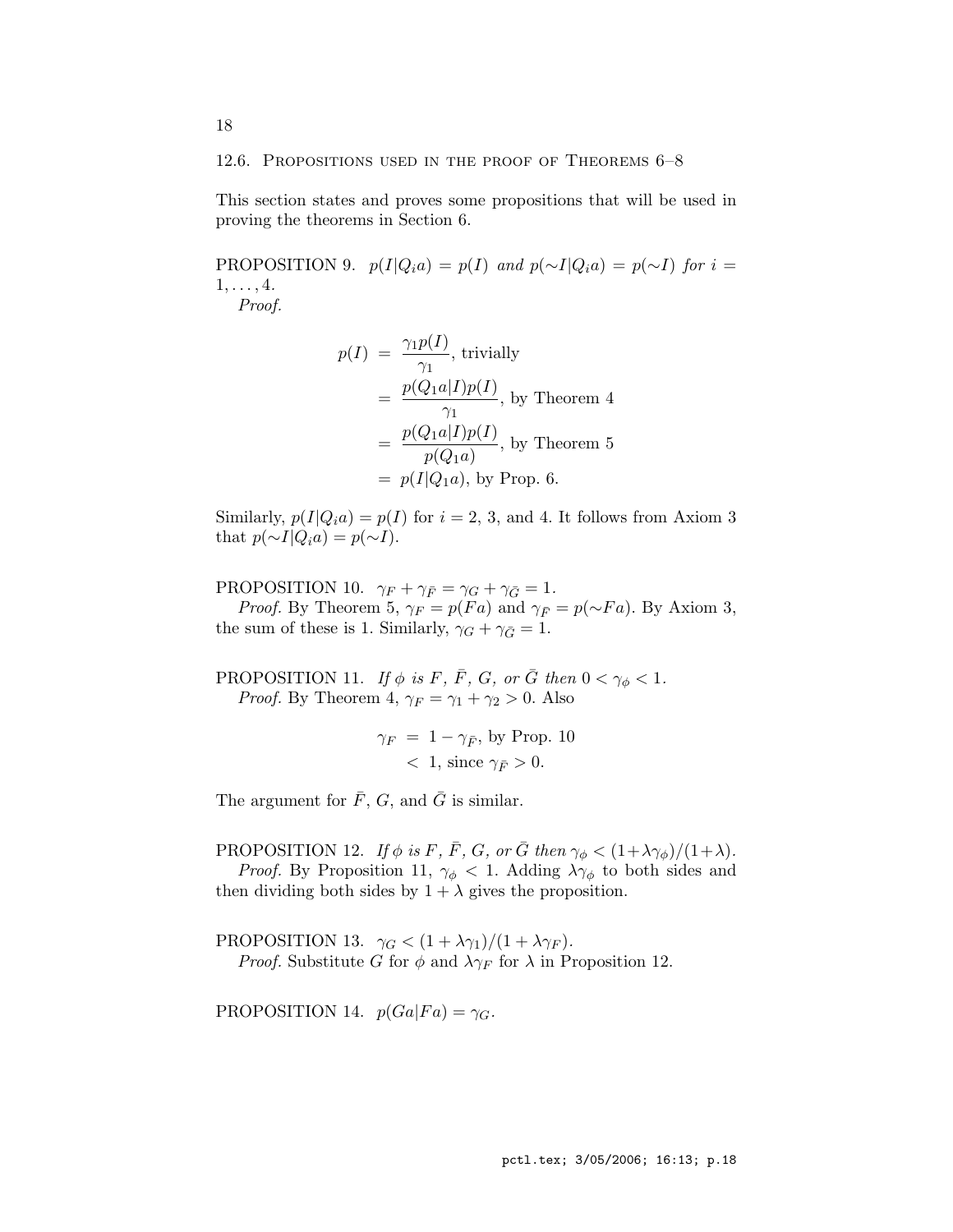#### 12.6. PROPOSITIONS USED IN THE PROOF OF THEOREMS 6-8

This section states and proves some propositions that will be used in proving the theorems in Section 6.

PROPOSITION 9.  $p(I|Q_i a) = p(I)$  and  $p(\sim I|Q_i a) = p(\sim I)$  for  $i =$  $1, \ldots, 4$ .

Proof.

$$
p(I) = \frac{\gamma_1 p(I)}{\gamma_1}, \text{ trivially}
$$
  
= 
$$
\frac{p(Q_1 a | I)p(I)}{\gamma_1}, \text{ by Theorem 4}
$$
  
= 
$$
\frac{p(Q_1 a | I)p(I)}{p(Q_1 a)}, \text{ by Theorem 5}
$$
  
= 
$$
p(I|Q_1 a), \text{ by Prop. 6.}
$$

Similarly,  $p(I|Q_i a) = p(I)$  for  $i = 2, 3$ , and 4. It follows from Axiom 3 that  $p(\sim I|Q_i a) = p(\sim I)$ .

PROPOSITION 10.  $\gamma_F + \gamma_{\bar{F}} = \gamma_G + \gamma_{\bar{G}} = 1$ .

*Proof.* By Theorem 5,  $\gamma_F = p(Fa)$  and  $\gamma_{\overline{F}} = p(\sim Fa)$ . By Axiom 3, the sum of these is 1. Similarly,  $\gamma_G + \gamma_{\overline{G}} = 1$ .

PROPOSITION 11. If  $\phi$  is F, F, G, or G then  $0 < \gamma_{\phi} < 1$ . *Proof.* By Theorem 4,  $\gamma_F = \gamma_1 + \gamma_2 > 0$ . Also

$$
\gamma_F = 1 - \gamma_{\bar{F}}, \text{ by Prop. 10}
$$
  
< 1, since  $\gamma_{\bar{F}} > 0$ .

The argument for  $\overline{F}$ ,  $G$ , and  $\overline{G}$  is similar.

PROPOSITION 12. If  $\phi$  is F, F, G, or  $\bar{G}$  then  $\gamma_{\phi} < (1 + \lambda \gamma_{\phi})/(1 + \lambda)$ . *Proof.* By Proposition 11,  $\gamma_{\phi} < 1$ . Adding  $\lambda \gamma_{\phi}$  to both sides and then dividing both sides by  $1 + \lambda$  gives the proposition.

PROPOSITION 13.  $\gamma_G < (1 + \lambda \gamma_1)/(1 + \lambda \gamma_F)$ . *Proof.* Substitute G for  $\phi$  and  $\lambda \gamma_F$  for  $\lambda$  in Proposition 12.

PROPOSITION 14.  $p(Ga|Fa) = \gamma_G$ .

18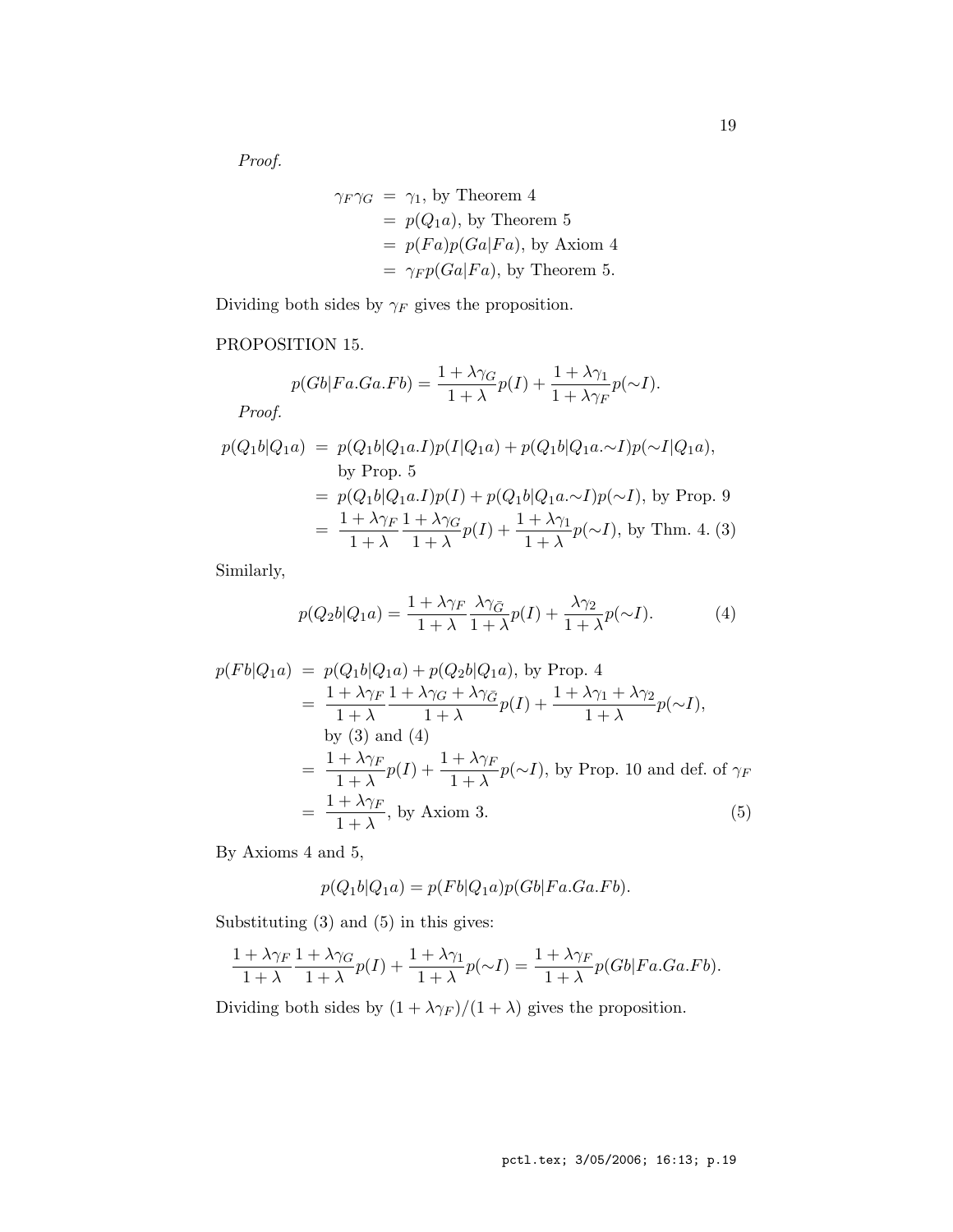19

Proof.

$$
\gamma_F \gamma_G = \gamma_1
$$
, by Theorem 4  
=  $p(Q_1a)$ , by Theorem 5  
=  $p(Fa)p(Ga|Fa)$ , by Axiom 4  
=  $\gamma_F p(Ga|Fa)$ , by Theorem 5.

Dividing both sides by  $\gamma_F$  gives the proposition.

# PROPOSITION 15.

$$
p(Gb|Fa.Ga.Fb) = \frac{1 + \lambda\gamma_G}{1 + \lambda}p(I) + \frac{1 + \lambda\gamma_1}{1 + \lambda\gamma_F}p(\sim I).
$$

Proof.

$$
p(Q_1b|Q_1a) = p(Q_1b|Q_1a.\mathit{I})p(\mathit{I}|Q_1a) + p(Q_1b|Q_1a.\sim\mathit{I})p(\sim\mathit{I}|Q_1a),
$$
  
by Prop. 5  

$$
= p(Q_1b|Q_1a.\mathit{I})p(\mathit{I}) + p(Q_1b|Q_1a.\sim\mathit{I})p(\sim\mathit{I}),
$$
 by Prop. 9  

$$
= \frac{1 + \lambda\gamma_F}{1 + \lambda} \frac{1 + \lambda\gamma_G}{1 + \lambda} p(\mathit{I}) + \frac{1 + \lambda\gamma_1}{1 + \lambda} p(\sim\mathit{I}),
$$
 by Thm. 4. (3)

Similarly,

$$
p(Q_2b|Q_1a) = \frac{1 + \lambda \gamma_F}{1 + \lambda} \frac{\lambda \gamma_{\bar{G}}}{1 + \lambda} p(I) + \frac{\lambda \gamma_2}{1 + \lambda} p(\sim I). \tag{4}
$$

$$
p(Fb|Q_1a) = p(Q_1b|Q_1a) + p(Q_2b|Q_1a), \text{ by Prop. } 4
$$
  
= 
$$
\frac{1 + \lambda \gamma_F}{1 + \lambda} \frac{1 + \lambda \gamma_G + \lambda \gamma_{\bar{G}}}{1 + \lambda} p(I) + \frac{1 + \lambda \gamma_1 + \lambda \gamma_2}{1 + \lambda} p(\sim I),
$$
  
by (3) and (4)  
= 
$$
\frac{1 + \lambda \gamma_F}{1 + \lambda} p(I) + \frac{1 + \lambda \gamma_F}{1 + \lambda} p(\sim I), \text{ by Prop. } 10 \text{ and def. of } \gamma_F
$$
  
= 
$$
\frac{1 + \lambda \gamma_F}{1 + \lambda}, \text{ by Axiom 3.}
$$
 (5)

By Axioms 4 and 5,

$$
p(Q_1b|Q_1a) = p(Fb|Q_1a)p(Gb|Fa.Ga.Fb).
$$

Substituting (3) and (5) in this gives:

$$
\frac{1+\lambda\gamma_F}{1+\lambda}\frac{1+\lambda\gamma_G}{1+\lambda}p(I)+\frac{1+\lambda\gamma_1}{1+\lambda}p(\sim I)=\frac{1+\lambda\gamma_F}{1+\lambda}p(Gb|Fa.Ga.Fb).
$$

Dividing both sides by  $(1 + \lambda \gamma_F)/(1 + \lambda)$  gives the proposition.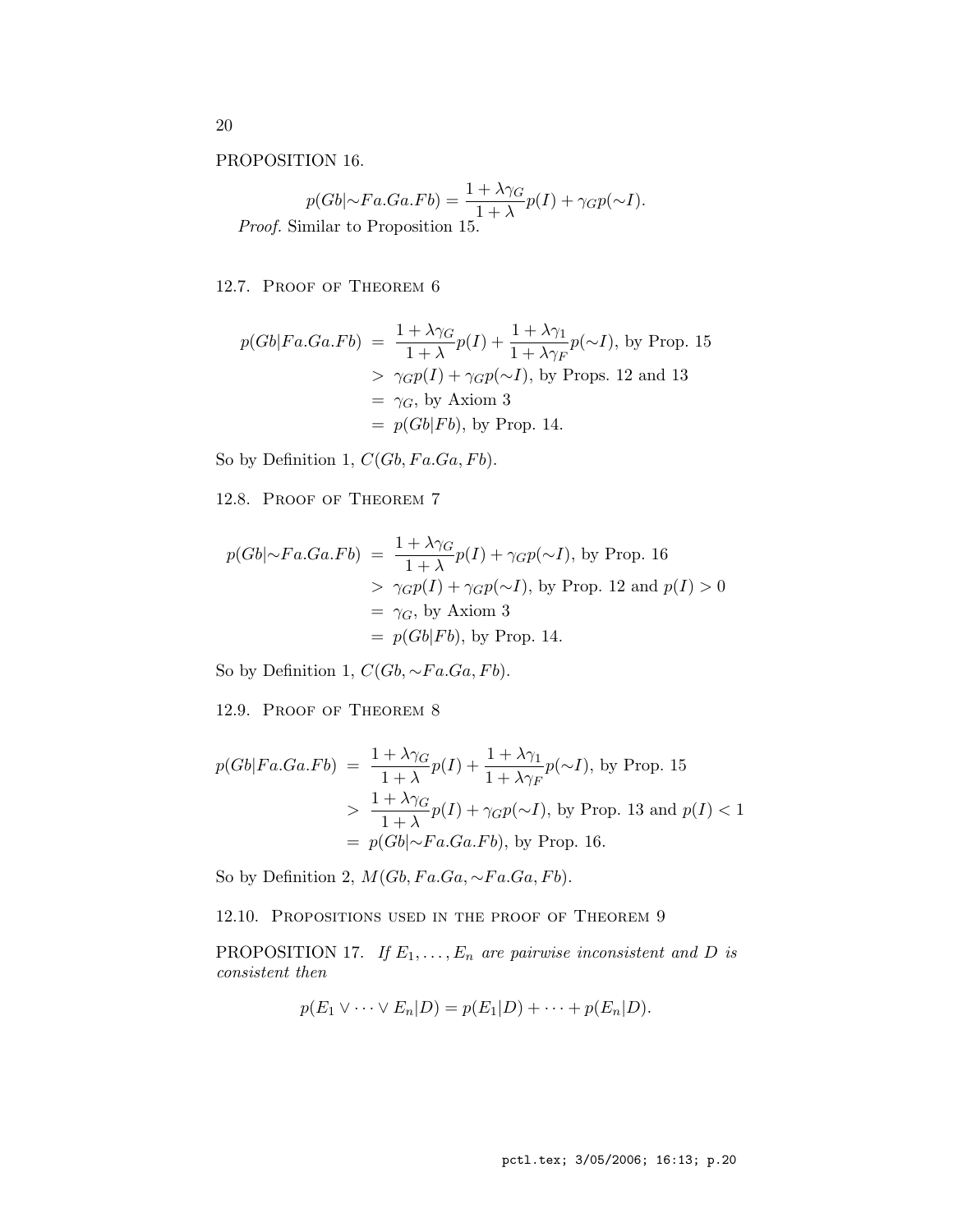PROPOSITION 16.

$$
p(Gb|\sim Fa.Ga.Fb) = \frac{1+\lambda\gamma_G}{1+\lambda}p(I) + \gamma_G p(\sim I).
$$
  
*Proof.* Similar to Proposition 15.

12.7. Proof of Theorem 6

$$
p(Gb|Fa.Ga.Fb) = \frac{1 + \lambda\gamma_G}{1 + \lambda}p(I) + \frac{1 + \lambda\gamma_1}{1 + \lambda\gamma_F}p(\sim I), \text{ by Prop. 15}
$$
  
>  $\gamma_{GP}(I) + \gamma_{GP}(\sim I), \text{ by Props. 12 and 13}$   
=  $\gamma_G$ , by Axiom 3  
=  $p(Gb|Fb)$ , by Prop. 14.

So by Definition 1,  $C(Gb, Fa, Ga, Fb)$ .

12.8. Proof of Theorem 7

$$
p(Gb|\sim Fa.Ga.Fb) = \frac{1 + \lambda\gamma_G}{1 + \lambda}p(I) + \gamma_Gp(\sim I), \text{ by Prop. 16}
$$
  
>  $\gamma_Gp(I) + \gamma_Gp(\sim I), \text{ by Prop. 12 and }p(I) > 0$   
=  $\gamma_G, \text{ by Axiom 3}$   
=  $p(Gb|Fb), \text{ by Prop. 14.}$ 

So by Definition 1,  $C(Gb, \sim Fa.Ga, Fb)$ .

12.9. Proof of Theorem 8

$$
p(Gb|Fa.Ga.Fb) = \frac{1 + \lambda\gamma_G}{1 + \lambda}p(I) + \frac{1 + \lambda\gamma_1}{1 + \lambda\gamma_F}p(\sim I), \text{ by Prop. 15}
$$
  
> 
$$
\frac{1 + \lambda\gamma_G}{1 + \lambda}p(I) + \gamma_Gp(\sim I), \text{ by Prop. 13 and } p(I) < 1
$$
  
=  $p(Gb|\sim Fa.Ga.Fb), \text{ by Prop. 16.}$ 

So by Definition 2,  $M(Gb, Fa.Ga, \sim Fa.Ga, Fb)$ .

12.10. Propositions used in the proof of Theorem 9

PROPOSITION 17. If  $E_1, \ldots, E_n$  are pairwise inconsistent and D is consistent then

$$
p(E_1 \vee \cdots \vee E_n | D) = p(E_1 | D) + \cdots + p(E_n | D).
$$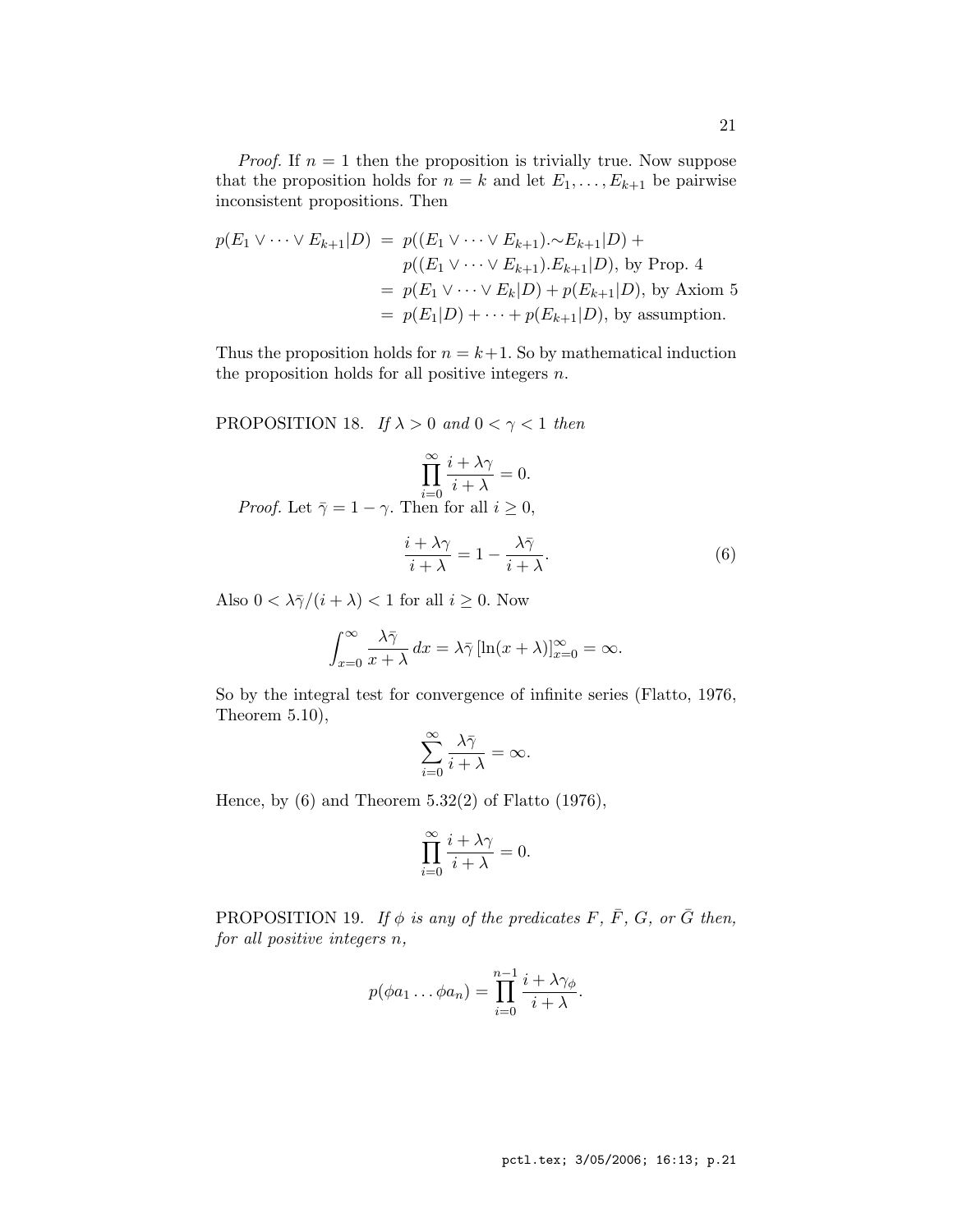*Proof.* If  $n = 1$  then the proposition is trivially true. Now suppose that the proposition holds for  $n = k$  and let  $E_1, \ldots, E_{k+1}$  be pairwise inconsistent propositions. Then

$$
p(E_1 \vee \cdots \vee E_{k+1}|D) = p((E_1 \vee \cdots \vee E_{k+1}) \sim E_{k+1}|D) +
$$
  
\n
$$
p((E_1 \vee \cdots \vee E_{k+1}).E_{k+1}|D), \text{ by Prop. 4}
$$
  
\n
$$
= p(E_1 \vee \cdots \vee E_k|D) + p(E_{k+1}|D), \text{ by Axiom 5}
$$
  
\n
$$
= p(E_1|D) + \cdots + p(E_{k+1}|D), \text{ by assumption.}
$$

Thus the proposition holds for  $n = k+1$ . So by mathematical induction the proposition holds for all positive integers  $n$ .

PROPOSITION 18. If  $\lambda > 0$  and  $0 < \gamma < 1$  then

Proof. Let 
$$
\bar{\gamma} = 1 - \gamma
$$
. Then for all  $i \geq 0$ ,

$$
\frac{i + \lambda \gamma}{i + \lambda} = 1 - \frac{\lambda \bar{\gamma}}{i + \lambda}.
$$
 (6)

Also  $0 < \lambda \bar{\gamma}/(i + \lambda) < 1$  for all  $i \geq 0$ . Now

$$
\int_{x=0}^{\infty} \frac{\lambda \bar{\gamma}}{x + \lambda} dx = \lambda \bar{\gamma} \left[ \ln(x + \lambda) \right]_{x=0}^{\infty} = \infty.
$$

So by the integral test for convergence of infinite series (Flatto, 1976, Theorem 5.10),

$$
\sum_{i=0}^{\infty}\frac{\lambda\bar{\gamma}}{i+\lambda}=\infty.
$$

Hence, by  $(6)$  and Theorem 5.32 $(2)$  of Flatto  $(1976)$ ,

$$
\prod_{i=0}^{\infty}\frac{i+\lambda\gamma}{i+\lambda}=0.
$$

PROPOSITION 19. If  $\phi$  is any of the predicates F,  $\bar{F}$ , G, or  $\bar{G}$  then, for all positive integers n,

$$
p(\phi a_1 \dots \phi a_n) = \prod_{i=0}^{n-1} \frac{i + \lambda \gamma_{\phi}}{i + \lambda}.
$$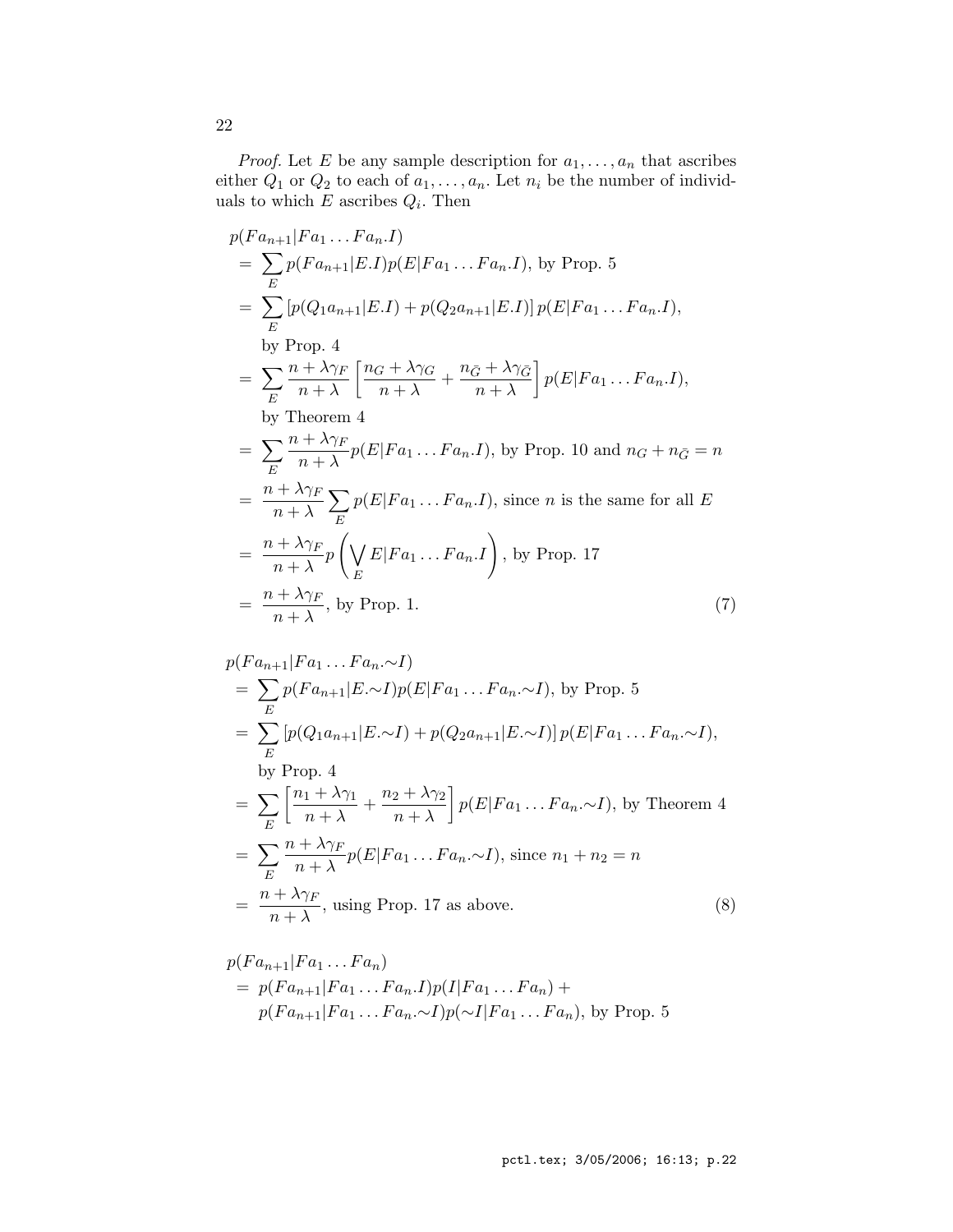*Proof.* Let E be any sample description for  $a_1, \ldots, a_n$  that ascribes either  $Q_1$  or  $Q_2$  to each of  $a_1, \ldots, a_n$ . Let  $n_i$  be the number of individuals to which  $E$  ascribes  $Q_i$ . Then

$$
p(Fa_{n+1}|Fa_1...Fa_n. I)
$$
  
= 
$$
\sum_{E} p(Fa_{n+1}|E.I)p(E|Fa_1...Fa_n. I), \text{ by Prop. 5}
$$
  
= 
$$
\sum_{E} [p(Q_1a_{n+1}|E.I) + p(Q_2a_{n+1}|E.I)]p(E|Fa_1...Fa_n. I),
$$
  
by Prop. 4  
= 
$$
\sum_{E} \frac{n + \lambda \gamma_F}{n + \lambda} \left[ \frac{n_G + \lambda \gamma_G}{n + \lambda} + \frac{n_{\bar{G}} + \lambda \gamma_{\bar{G}}}{n + \lambda} \right]p(E|Fa_1...Fa_n. I),
$$
  
by Theorem 4  
= 
$$
\sum_{E} \frac{n + \lambda \gamma_F}{n + \lambda} p(E|Fa_1...Fa_n. I), \text{ by Prop. 10 and } n_G + n_{\bar{G}} = n
$$
  
= 
$$
\frac{n + \lambda \gamma_F}{n + \lambda} \sum_{E} p(E|Fa_1...Fa_n. I), \text{ since } n \text{ is the same for all } E
$$
  
= 
$$
\frac{n + \lambda \gamma_F}{n + \lambda} p\left(\bigvee_{E} E|Fa_1...Fa_n. I\right), \text{ by Prop. 17}
$$
  
= 
$$
\frac{n + \lambda \gamma_F}{n + \lambda}, \text{ by Prop. 1.}
$$
 (7)

$$
p(Fa_{n+1}|Fa_1...Fa_n.\sim I)
$$
  
=  $\sum_{E} p(Fa_{n+1}|E.\sim I)p(E|Fa_1...Fa_n.\sim I)$ , by Prop. 5  
=  $\sum_{E} [p(Q_1a_{n+1}|E.\sim I) + p(Q_2a_{n+1}|E.\sim I)]p(E|Fa_1...Fa_n.\sim I)$ ,  
by Prop. 4  
=  $\sum_{E} \left[ \frac{n_1 + \lambda \gamma_1}{n + \lambda} + \frac{n_2 + \lambda \gamma_2}{n + \lambda} \right] p(E|Fa_1...Fa_n.\sim I)$ , by Theorem 4  
=  $\sum_{E} \frac{n + \lambda \gamma_F}{n + \lambda} p(E|Fa_1...Fa_n.\sim I)$ , since  $n_1 + n_2 = n$   
=  $\frac{n + \lambda \gamma_F}{n + \lambda}$ , using Prop. 17 as above. (8)

$$
p(Fa_{n+1}|Fa_1...Fa_n)
$$
  
=  $p(Fa_{n+1}|Fa_1...Fa_n. I)p(I|Fa_1...Fa_n) +$   
 $p(Fa_{n+1}|Fa_1...Fa_n.\sim I)p(\sim I|Fa_1...Fa_n)$ , by Prop. 5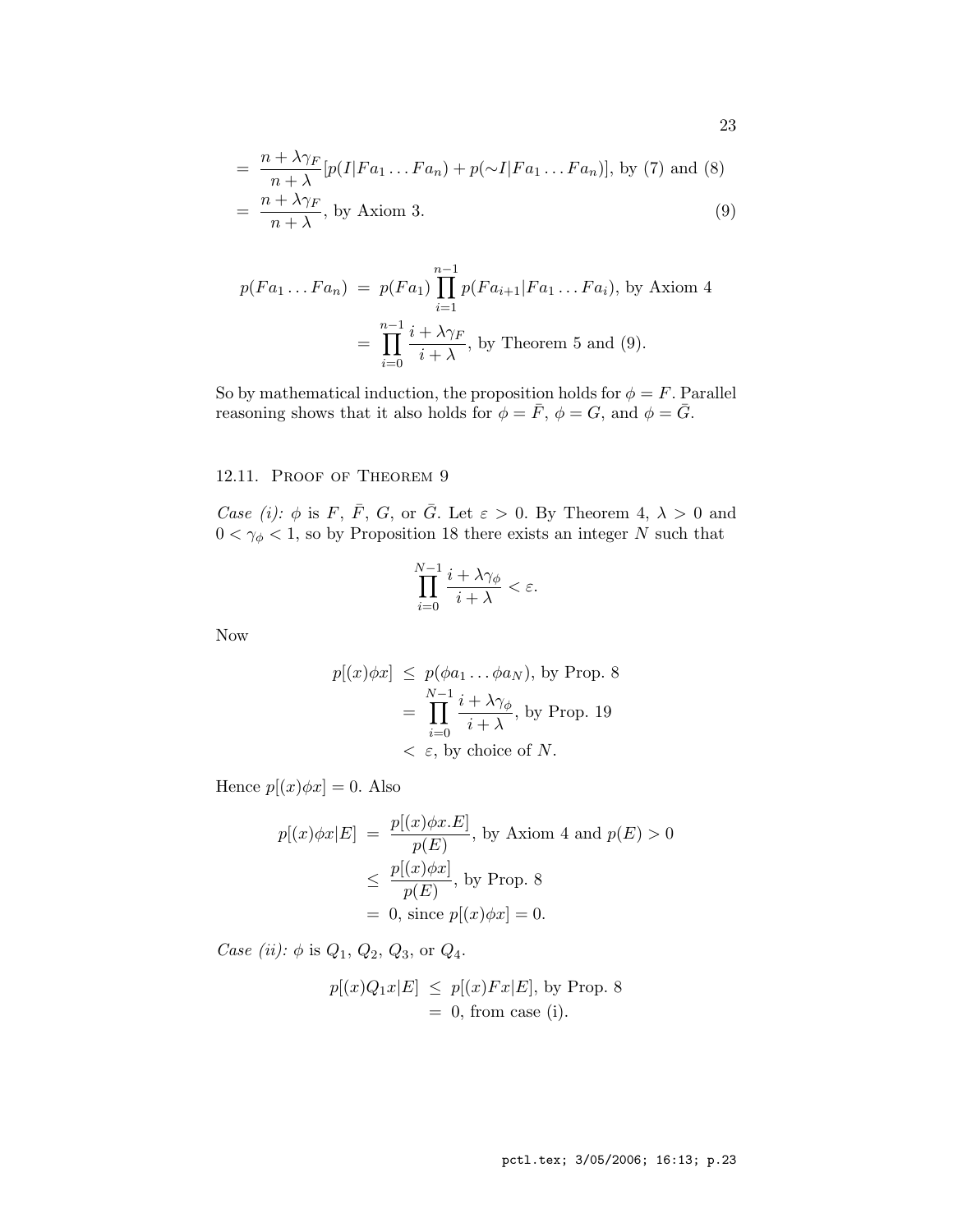$$
= \frac{n + \lambda \gamma_F}{n + \lambda} [p(I|Fa_1 \dots Fa_n) + p(\sim I|Fa_1 \dots Fa_n)], \text{ by (7) and (8)}
$$

$$
= \frac{n + \lambda \gamma_F}{n + \lambda}, \text{ by Axiom 3.}
$$
(9)

$$
p(Fa_1 \dots Fa_n) = p(Fa_1) \prod_{i=1}^{n-1} p(Fa_{i+1}|Fa_1 \dots Fa_i), \text{ by Axiom 4}
$$

$$
= \prod_{i=0}^{n-1} \frac{i + \lambda \gamma_F}{i + \lambda}, \text{ by Theorem 5 and (9)}.
$$

So by mathematical induction, the proposition holds for  $\phi = F$ . Parallel reasoning shows that it also holds for  $\phi = \bar{F}$ ,  $\phi = G$ , and  $\phi = \bar{G}$ .

# 12.11. Proof of Theorem 9

*Case (i):*  $\phi$  is F, F, G, or G. Let  $\varepsilon > 0$ . By Theorem 4,  $\lambda > 0$  and  $0 < \gamma_{\phi} < 1$ , so by Proposition 18 there exists an integer N such that

$$
\prod_{i=0}^{N-1} \frac{i + \lambda \gamma_{\phi}}{i + \lambda} < \varepsilon.
$$

Now

$$
p[(x)\phi x] \le p(\phi a_1 \dots \phi a_N), \text{ by Prop. 8}
$$

$$
= \prod_{i=0}^{N-1} \frac{i + \lambda \gamma_{\phi}}{i + \lambda}, \text{ by Prop. 19}
$$

$$
< \varepsilon, \text{ by choice of } N.
$$

Hence  $p(x)\phi x$  = 0. Also

$$
p[(x)\phi x|E] = \frac{p[(x)\phi x.E]}{p(E)}, \text{ by Axiom 4 and } p(E) > 0
$$
  

$$
\leq \frac{p[(x)\phi x]}{p(E)}, \text{ by Prop. 8}
$$
  

$$
= 0, \text{ since } p[(x)\phi x] = 0.
$$

*Case (ii):*  $\phi$  is  $Q_1$ ,  $Q_2$ ,  $Q_3$ , or  $Q_4$ .

$$
p[(x)Q_1x|E] \le p[(x)Fx|E], \text{ by Prop. 8}
$$
  
= 0, from case (i).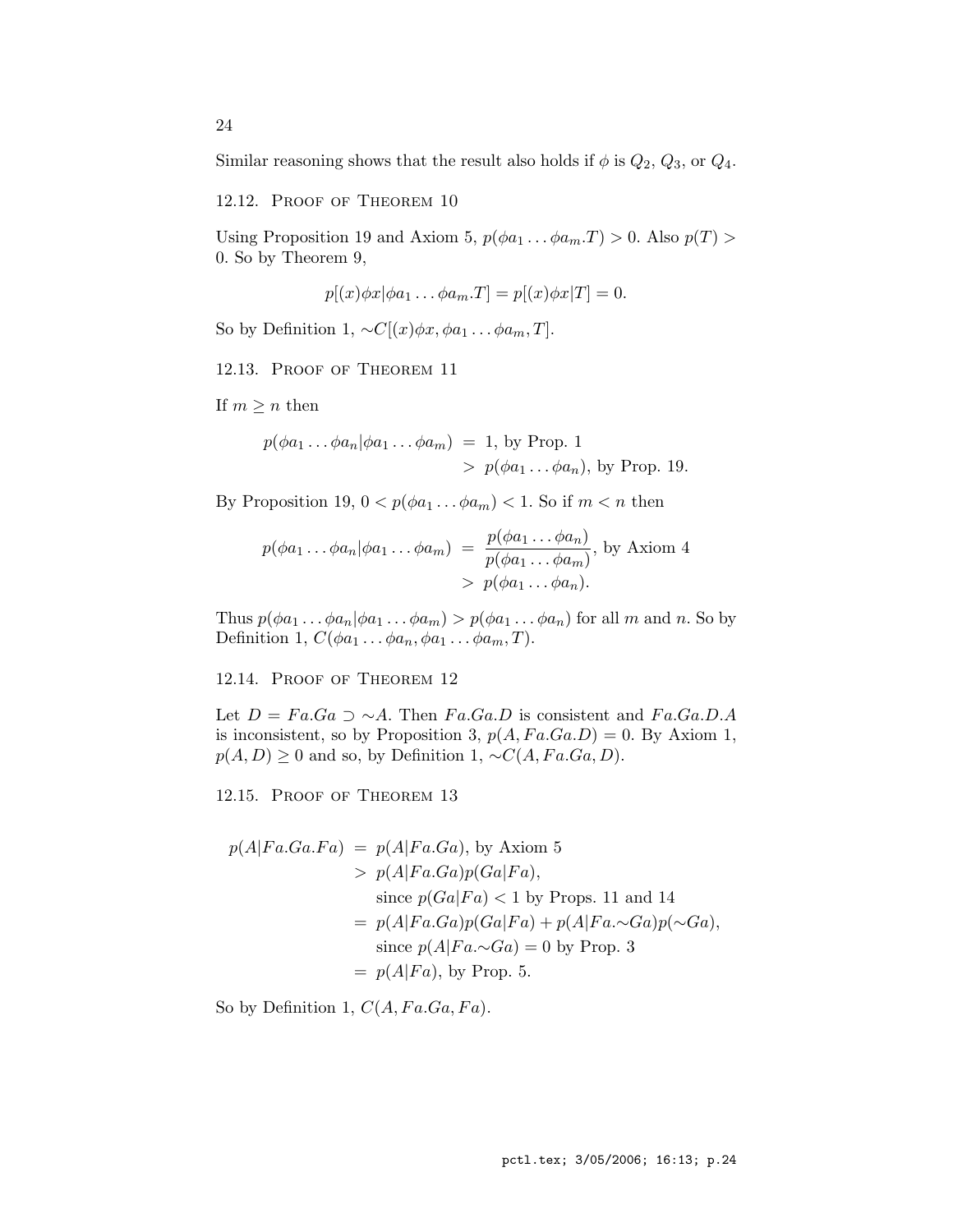12.12. Proof of Theorem 10

Using Proposition 19 and Axiom 5,  $p(\phi a_1 \dots \phi a_m \cdot T) > 0$ . Also  $p(T) > 0$ 0. So by Theorem 9,

$$
p[(x)\phi x|\phi a_1\ldots\phi a_m.T] = p[(x)\phi x|T] = 0.
$$

So by Definition 1,  $\sim C[(x)\phi x, \phi a_1 \dots \phi a_m, T]$ .

12.13. Proof of Theorem 11

If  $m \geq n$  then

$$
p(\phi a_1 \dots \phi a_n | \phi a_1 \dots \phi a_m) = 1, \text{ by Prop. 1}
$$
  
> 
$$
p(\phi a_1 \dots \phi a_n), \text{ by Prop. 19.}
$$

By Proposition 19,  $0 < p(\phi a_1 \dots \phi a_m) < 1$ . So if  $m < n$  then

$$
p(\phi a_1 \dots \phi a_n | \phi a_1 \dots \phi a_m) = \frac{p(\phi a_1 \dots \phi a_n)}{p(\phi a_1 \dots \phi a_m)},
$$
 by Axiom 4  
>  $p(\phi a_1 \dots \phi a_n).$ 

Thus  $p(\phi a_1 \dots \phi a_n | \phi a_1 \dots \phi a_m) > p(\phi a_1 \dots \phi a_n)$  for all m and n. So by Definition 1,  $C(\phi a_1 \ldots \phi a_n, \phi a_1 \ldots \phi a_m, T)$ .

12.14. Proof of Theorem 12

Let  $D = Fa.Ga \supset \sim A$ . Then  $Fa.Ga.D$  is consistent and  $Fa.Ga.D.A$ is inconsistent, so by Proposition 3,  $p(A, Fa.Ga.D) = 0$ . By Axiom 1,  $p(A, D) \geq 0$  and so, by Definition 1,  $\sim C(A, Fa.Ga, D)$ .

12.15. Proof of Theorem 13

$$
p(A|Fa.Ga.Fa) = p(A|Fa.Ga), \text{ by Axiom 5}
$$
  
>  $p(A|Fa.Ga)p(Ga|Fa),$   
since  $p(Ga|Fa) < 1$  by Props. 11 and 14  
=  $p(A|Fa.Ga)p(Ga|Fa) + p(A|Fa.\sim Ga)p(\sim Ga),$   
since  $p(A|Fa.\sim Ga) = 0$  by Prop. 3  
=  $p(A|Fa),$  by Prop. 5.

So by Definition 1,  $C(A, Fa.Ga, Fa)$ .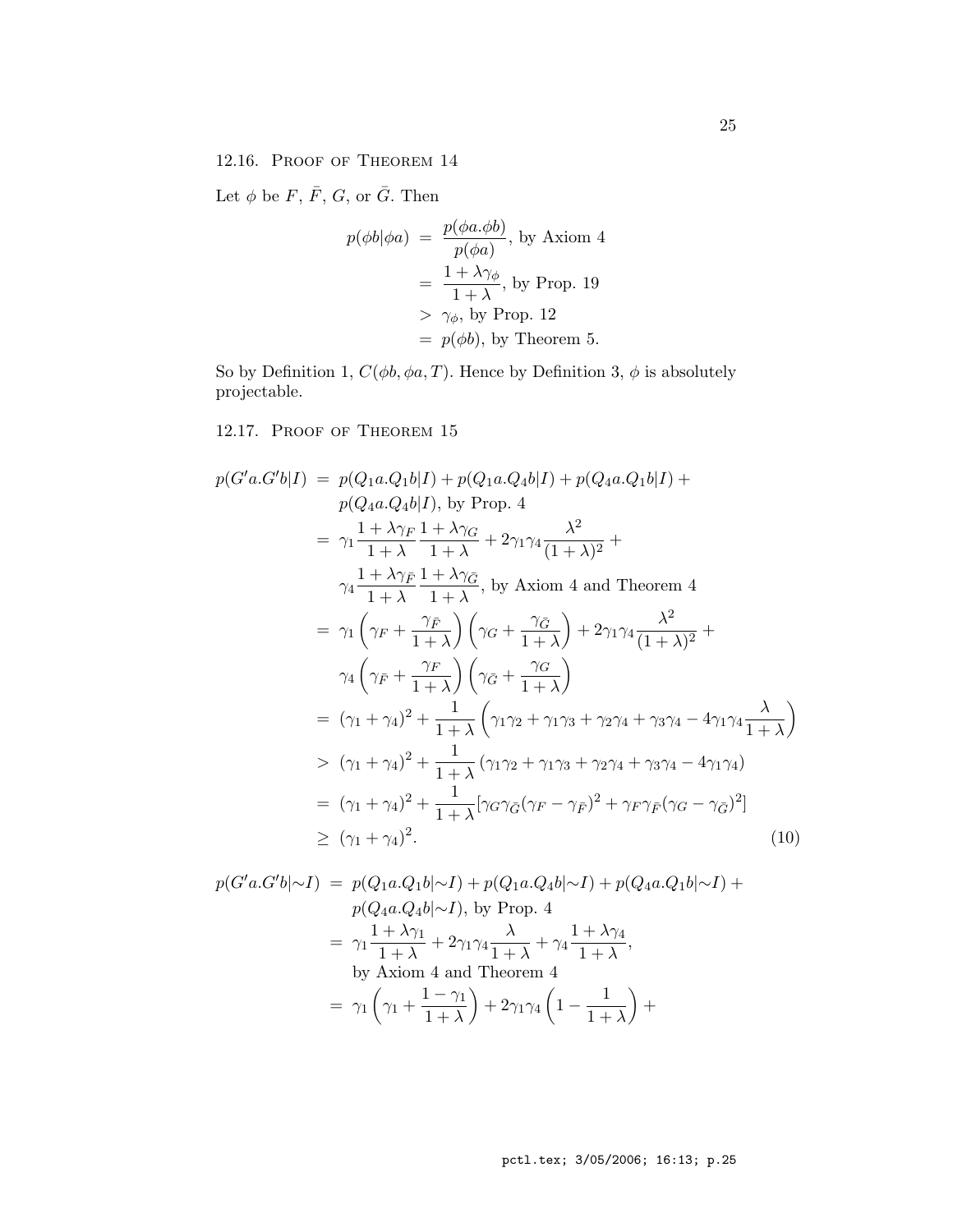12.16. Proof of Theorem 14

Let  $\phi$  be  $F,\,\bar{F},\,G,$  or  $\bar{G}.$  Then

$$
p(\phi b|\phi a) = \frac{p(\phi a.\phi b)}{p(\phi a)}, \text{ by Axiom 4}
$$

$$
= \frac{1 + \lambda \gamma_{\phi}}{1 + \lambda}, \text{ by Prop. 19}
$$

$$
> \gamma_{\phi}, \text{ by Prop. 12}
$$

$$
= p(\phi b), \text{ by Theorem 5.}
$$

So by Definition 1,  $C(\phi b, \phi a, T)$ . Hence by Definition 3,  $\phi$  is absolutely projectable.

12.17. Proof of Theorem 15

$$
p(G'a.G'b|I) = p(Q1a.Q1b|I) + p(Q1a.Q4b|I) + p(Q4a.Q1b|I) +\n p(Q4a.Q4b|I), by Prop. 4\n=  $\gamma_1 \frac{1 + \lambda \gamma_F}{1 + \lambda} \frac{1 + \lambda \gamma_G}{1 + \lambda} + 2\gamma_1 \gamma_4 \frac{\lambda^2}{(1 + \lambda)^2} +$   
\n $\gamma_4 \frac{1 + \lambda \gamma_F}{1 + \lambda} \frac{1 + \lambda \gamma_{\bar{G}}}{1 + \lambda},$  by Axiom 4 and Theorem 4  
\n=  $\gamma_1 \left(\gamma_F + \frac{\gamma_{\bar{F}}}{1 + \lambda}\right) \left(\gamma_G + \frac{\gamma_{\bar{G}}}{1 + \lambda}\right) + 2\gamma_1 \gamma_4 \frac{\lambda^2}{(1 + \lambda)^2} +$   
\n $\gamma_4 \left(\gamma_{\bar{F}} + \frac{\gamma_F}{1 + \lambda}\right) \left(\gamma_{\bar{G}} + \frac{\gamma_G}{1 + \lambda}\right)$   
\n=  $(\gamma_1 + \gamma_4)^2 + \frac{1}{1 + \lambda} \left(\gamma_1 \gamma_2 + \gamma_1 \gamma_3 + \gamma_2 \gamma_4 + \gamma_3 \gamma_4 - 4\gamma_1 \gamma_4 \frac{\lambda}{1 + \lambda}\right)$   
\n> >  $(\gamma_1 + \gamma_4)^2 + \frac{1}{1 + \lambda} (\gamma_1 \gamma_2 + \gamma_1 \gamma_3 + \gamma_2 \gamma_4 + \gamma_3 \gamma_4 - 4\gamma_1 \gamma_4)$   
\n=  $(\gamma_1 + \gamma_4)^2 + \frac{1}{1 + \lambda} [\gamma_G \gamma_{\bar{G}} (\gamma_F - \gamma_{\bar{F}})^2 + \gamma_F \gamma_{\bar{F}} (\gamma_G - \gamma_{\bar{G}})^2]$   
\n $\geq (\gamma_1 + \gamma_4)^2.$  (10)
$$

$$
p(G'a.G'b|\sim I) = p(Q_1a.Q_1b|\sim I) + p(Q_1a.Q_4b|\sim I) + p(Q_4a.Q_1b|\sim I) +
$$
  
\n
$$
p(Q_4a.Q_4b|\sim I), \text{ by Prop. } 4
$$
  
\n
$$
= \gamma_1 \frac{1 + \lambda \gamma_1}{1 + \lambda} + 2\gamma_1 \gamma_4 \frac{\lambda}{1 + \lambda} + \gamma_4 \frac{1 + \lambda \gamma_4}{1 + \lambda},
$$
  
\nby Axiom 4 and Theorem 4  
\n
$$
= \gamma_1 \left(\gamma_1 + \frac{1 - \gamma_1}{1 + \lambda}\right) + 2\gamma_1 \gamma_4 \left(1 - \frac{1}{1 + \lambda}\right) +
$$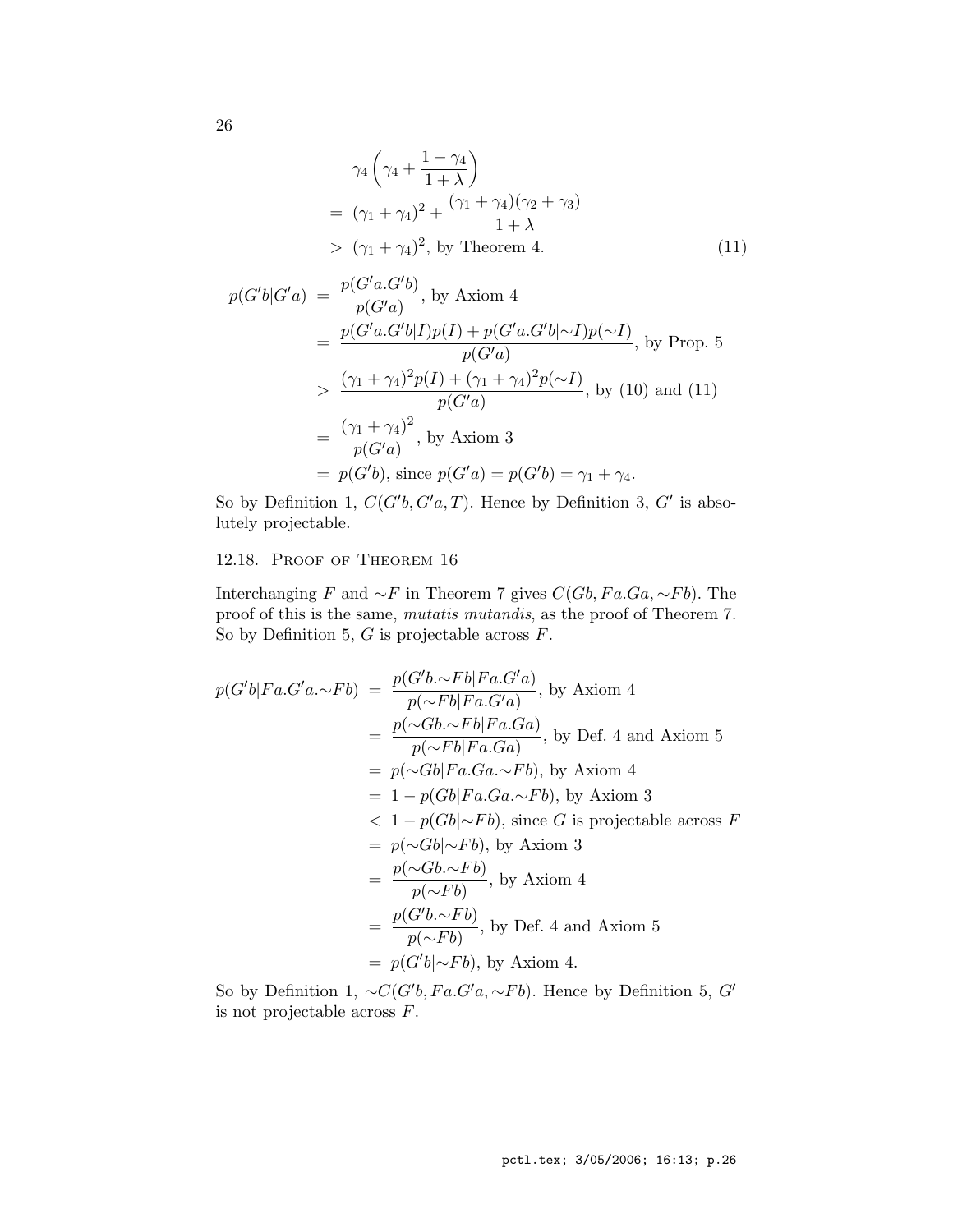$$
\gamma_4 \left(\gamma_4 + \frac{1 - \gamma_4}{1 + \lambda}\right)
$$
  
=  $(\gamma_1 + \gamma_4)^2 + \frac{(\gamma_1 + \gamma_4)(\gamma_2 + \gamma_3)}{1 + \lambda}$   
>  $(\gamma_1 + \gamma_4)^2$ , by Theorem 4. (11)

$$
p(G'b|G'a) = \frac{p(G'a.G'b)}{p(G'a)}, \text{ by Axiom 4}
$$
  
= 
$$
\frac{p(G'a.G'b|I)p(I) + p(G'a.G'b|\sim I)p(\sim I)}{p(G'a)}, \text{ by Prop. 5}
$$
  
> 
$$
\frac{(\gamma_1 + \gamma_4)^2 p(I) + (\gamma_1 + \gamma_4)^2 p(\sim I)}{p(G'a)}, \text{ by (10) and (11)}
$$
  
= 
$$
\frac{(\gamma_1 + \gamma_4)^2}{p(G'a)}, \text{ by Axiom 3}
$$
  
= 
$$
p(G'b), \text{ since } p(G'a) = p(G'b) = \gamma_1 + \gamma_4.
$$

So by Definition 1,  $C(G'b, G'a, T)$ . Hence by Definition 3, G' is absolutely projectable.

# 12.18. Proof of Theorem 16

Interchanging F and  $\sim$ F in Theorem 7 gives  $C(Gb, Fa,Ga, \sim Fb)$ . The proof of this is the same, mutatis mutandis, as the proof of Theorem 7. So by Definition 5,  $G$  is projectable across  $F$ .

$$
p(G'b|Fa.G'a.\sim Fb) = \frac{p(G'b.\sim Fb|Fa.G'a)}{p(\sim Fb|Fa.G'a)}, \text{ by Axiom 4}
$$
  
\n
$$
= \frac{p(\sim Gb.\sim Fb|Fa.Ga)}{p(\sim Fb|Fa.Ga)}, \text{ by Def. 4 and Axiom 5}
$$
  
\n
$$
= p(\sim Gb|Fa.Ga.\sim Fb), \text{ by Axiom 4}
$$
  
\n
$$
= 1 - p(Gb|Fa.Ga.\sim Fb), \text{ by Axiom 3}
$$
  
\n
$$
< 1 - p(Gb|\sim Fb), \text{ since } G \text{ is projectile across } F
$$
  
\n
$$
= p(\sim Gb|\sim Fb), \text{ by Axiom 3}
$$
  
\n
$$
= \frac{p(\sim Gb.\sim Fb)}{p(\sim Fb)}, \text{ by Axiom 4}
$$
  
\n
$$
= \frac{p(G'b.\sim Fb)}{p(\sim Fb)}, \text{ by Def. 4 and Axiom 5}
$$
  
\n
$$
= p(G'b|\sim Fb), \text{ by Axiom 4.}
$$

So by Definition 1,  $\sim C(G'b, Fa.G'a, \sim Fb)$ . Hence by Definition 5, G' is not projectable across F.

26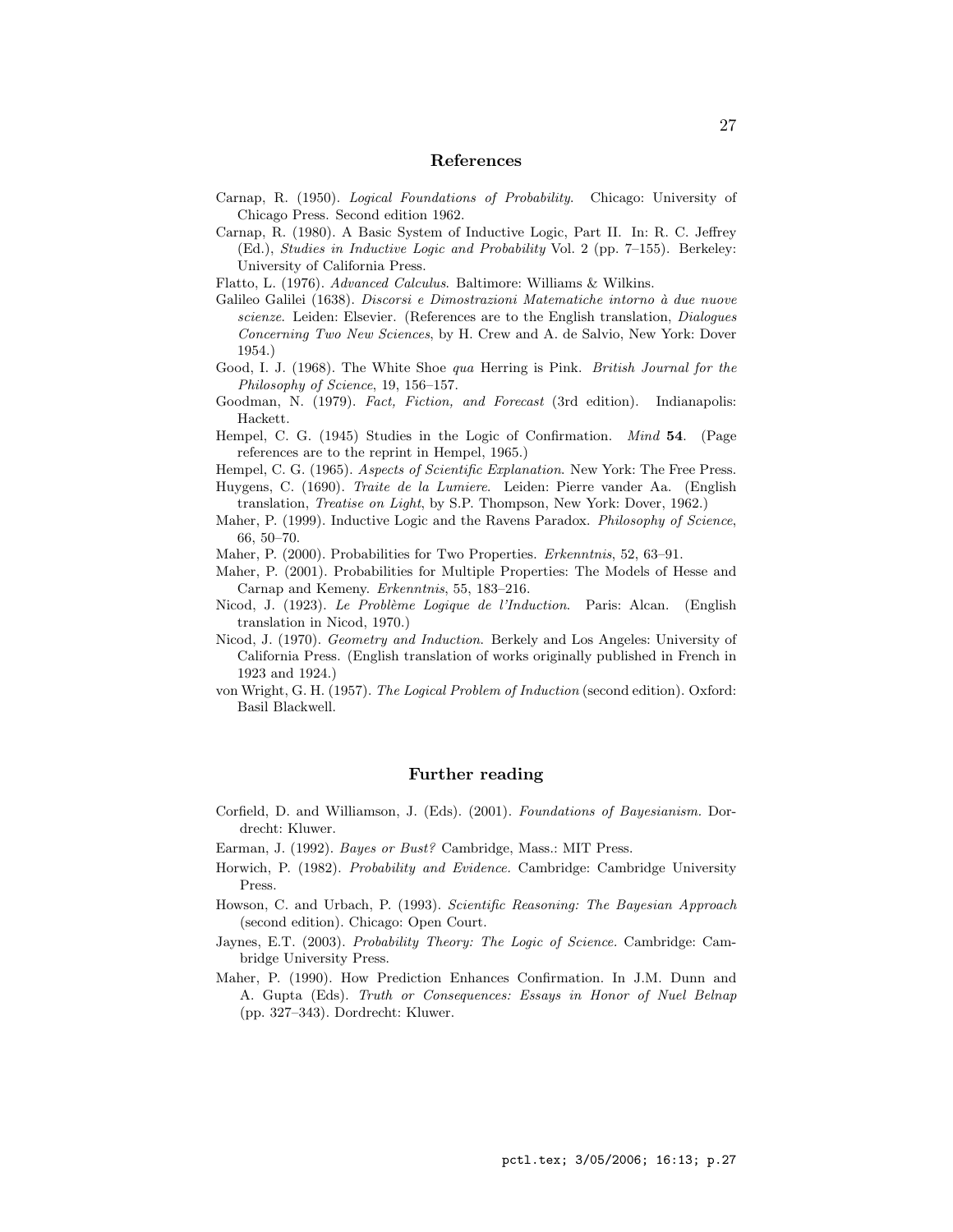### References

- Carnap, R. (1950). Logical Foundations of Probability. Chicago: University of Chicago Press. Second edition 1962.
- Carnap, R. (1980). A Basic System of Inductive Logic, Part II. In: R. C. Jeffrey (Ed.), Studies in Inductive Logic and Probability Vol. 2 (pp. 7–155). Berkeley: University of California Press.
- Flatto, L. (1976). Advanced Calculus. Baltimore: Williams & Wilkins.
- Galileo Galilei (1638). Discorsi e Dimostrazioni Matematiche intorno à due nuove scienze. Leiden: Elsevier. (References are to the English translation, Dialogues Concerning Two New Sciences, by H. Crew and A. de Salvio, New York: Dover 1954.)
- Good, I. J. (1968). The White Shoe qua Herring is Pink. British Journal for the Philosophy of Science, 19, 156–157.
- Goodman, N. (1979). Fact, Fiction, and Forecast (3rd edition). Indianapolis: Hackett.
- Hempel, C. G. (1945) Studies in the Logic of Confirmation. Mind 54. (Page references are to the reprint in Hempel, 1965.)

Hempel, C. G. (1965). Aspects of Scientific Explanation. New York: The Free Press.

Huygens, C. (1690). Traite de la Lumiere. Leiden: Pierre vander Aa. (English translation, Treatise on Light, by S.P. Thompson, New York: Dover, 1962.)

- Maher, P. (1999). Inductive Logic and the Ravens Paradox. Philosophy of Science, 66, 50–70.
- Maher, P. (2000). Probabilities for Two Properties. Erkenntnis, 52, 63–91.
- Maher, P. (2001). Probabilities for Multiple Properties: The Models of Hesse and Carnap and Kemeny. Erkenntnis, 55, 183–216.
- Nicod, J. (1923). Le Problème Logique de l'Induction. Paris: Alcan. (English translation in Nicod, 1970.)
- Nicod, J. (1970). Geometry and Induction. Berkely and Los Angeles: University of California Press. (English translation of works originally published in French in 1923 and 1924.)
- von Wright, G. H. (1957). The Logical Problem of Induction (second edition). Oxford: Basil Blackwell.

### Further reading

- Corfield, D. and Williamson, J. (Eds). (2001). Foundations of Bayesianism. Dordrecht: Kluwer.
- Earman, J. (1992). Bayes or Bust? Cambridge, Mass.: MIT Press.
- Horwich, P. (1982). Probability and Evidence. Cambridge: Cambridge University Press.
- Howson, C. and Urbach, P. (1993). Scientific Reasoning: The Bayesian Approach (second edition). Chicago: Open Court.
- Jaynes, E.T. (2003). Probability Theory: The Logic of Science. Cambridge: Cambridge University Press.
- Maher, P. (1990). How Prediction Enhances Confirmation. In J.M. Dunn and A. Gupta (Eds). Truth or Consequences: Essays in Honor of Nuel Belnap (pp. 327–343). Dordrecht: Kluwer.